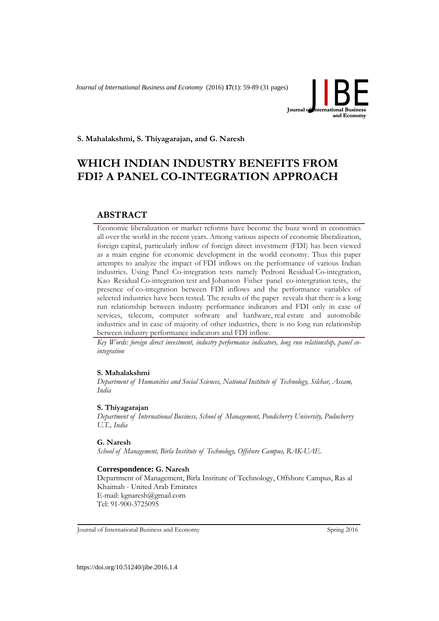*Journal of International Business and Economy* (2016) **17**(1): 59-89 (31 pages)



**S. Mahalakshmi, S. Thiyagarajan, and G. Naresh**

# **WHICH INDIAN INDUSTRY BENEFITS FROM FDI? A PANEL CO-INTEGRATION APPROACH**

# **ABSTRACT**

Economic liberalization or market reforms have become the buzz word in economics all over the world in the recent years. Among various aspects of economic liberalization, foreign capital, particularly inflow of foreign direct investment (FDI) has been viewed as a main engine for economic development in the world economy. Thus this paper attempts to analyze the impact of FDI inflows on the performance of various Indian industries. Using Panel Co-integration tests namely Pedroni Residual Co-integration, Kao Residual Co-integration test and Johanson Fisher panel co-intergration tests, the presence of co-integration between FDI inflows and the performance variables of selected industries have been tested. The results of the paper reveals that there is a long run relationship between industry performance indicators and FDI only in case of services, telecom, computer software and hardware, real estate and automobile industries and in case of majority of other industries, there is no long run relationship between industry performance indicators and FDI inflow.

*Key Words: foreign direct investment, industry performance indicators, long run relationship, panel cointegration*

#### **S. Mahalakshmi**

*Department of Humanities and Social Sciences, National Institute of Technology, Silchar, Assam, India*

#### **S. Thiyagarajan**

*Department of International Business, School of Management, Pondicherry University, Puducherry U.T., India*

#### **G. Naresh**

*School of Management, Birla Institute of Technology, Offshore Campus, RAK-UAE.*

#### **Correspondence: G. Naresh**

Department of Management, Birla Institute of Technology, Offshore Campus, Ras al Khaimah - United Arab Emirates E-mail: [kgnaresh@gmail.com](mailto:E-mail%3Akgnaresh@gmail.com) Tel: 91-900-3725095

Journal of International Business and Economy Spring 2016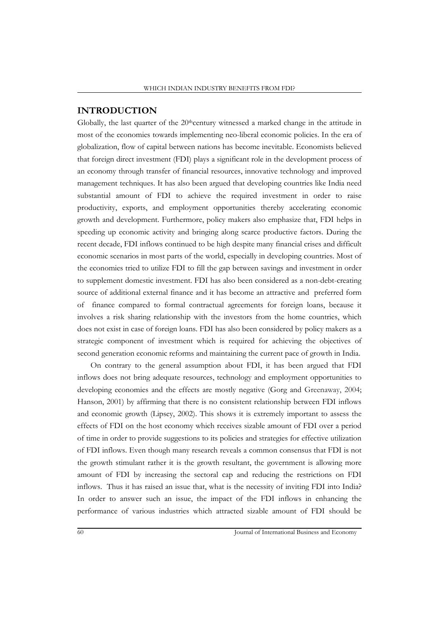## **INTRODUCTION**

Globally, the last quarter of the  $20$ <sup>th</sup>century witnessed a marked change in the attitude in most of the economies towards implementing neo-liberal economic policies. In the era of globalization, flow of capital between nations has become inevitable. Economists believed that foreign direct investment (FDI) plays a significant role in the development process of an economy through transfer of financial resources, innovative technology and improved management techniques. It has also been argued that developing countries like India need substantial amount of FDI to achieve the required investment in order to raise productivity, exports, and employment opportunities thereby accelerating economic growth and development. Furthermore, policy makers also emphasize that, FDI helps in speeding up economic activity and bringing along scarce productive factors. During the recent decade, FDI inflows continued to be high despite many financial crises and difficult economic scenarios in most parts of the world, especially in developing countries. Most of the economies tried to utilize FDI to fill the gap between savings and investment in order to supplement domestic investment. FDI has also been considered as a non-debt-creating source of additional external finance and it has become an attractive and preferred form of finance compared to formal contractual agreements for foreign loans, because it involves a risk sharing relationship with the investors from the home countries, which does not exist in case of foreign loans. FDI has also been considered by policy makers as a strategic component of investment which is required for achieving the objectives of second generation economic reforms and maintaining the current pace of growth in India.

On contrary to the general assumption about FDI, it has been argued that FDI inflows does not bring adequate resources, technology and employment opportunities to developing economies and the effects are mostly negative (Gorg and Greenaway, 2004; Hanson, 2001) by affirming that there is no consistent relationship between FDI inflows and economic growth (Lipsey, 2002). This shows it is extremely important to assess the effects of FDI on the host economy which receives sizable amount of FDI over a period of time in order to provide suggestions to its policies and strategies for effective utilization of FDI inflows. Even though many research reveals a common consensus that FDI is not the growth stimulant rather it is the growth resultant, the government is allowing more amount of FDI by increasing the sectoral cap and reducing the restrictions on FDI inflows. Thus it has raised an issue that, what is the necessity of inviting FDI into India? In order to answer such an issue, the impact of the FDI inflows in enhancing the performance of various industries which attracted sizable amount of FDI should be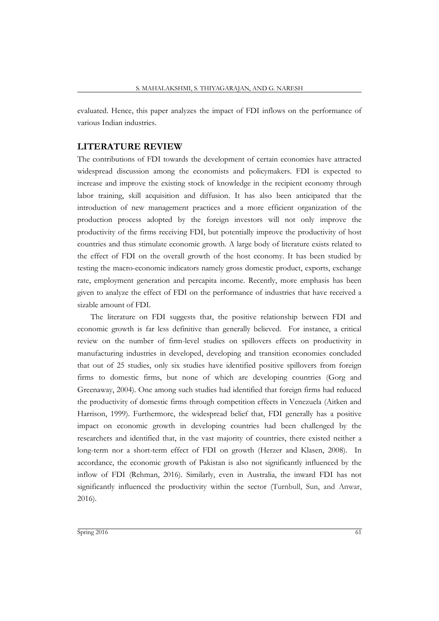evaluated. Hence, this paper analyzes the impact of FDI inflows on the performance of various Indian industries.

#### **LITERATURE REVIEW**

The contributions of FDI towards the development of certain economies have attracted widespread discussion among the economists and policymakers. FDI is expected to increase and improve the existing stock of knowledge in the recipient economy through labor training, skill acquisition and diffusion. It has also been anticipated that the introduction of new management practices and a more efficient organization of the production process adopted by the foreign investors will not only improve the productivity of the firms receiving FDI, but potentially improve the productivity of host countries and thus stimulate economic growth. A large body of literature exists related to the effect of FDI on the overall growth of the host economy. It has been studied by testing the macro-economic indicators namely gross domestic product, exports, exchange rate, employment generation and percapita income. Recently, more emphasis has been given to analyze the effect of FDI on the performance of industries that have received a sizable amount of FDI.

The literature on FDI suggests that, the positive relationship between FDI and economic growth is far less definitive than generally believed. For instance, a critical review on the number of firm-level studies on spillovers effects on productivity in manufacturing industries in developed, developing and transition economies concluded that out of 25 studies, only six studies have identified positive spillovers from foreign firms to domestic firms, but none of which are developing countries (Gorg and Greenaway, 2004). One among such studies had identified that foreign firms had reduced the productivity of domestic firms through competition effects in Venezuela (Aitken and Harrison, 1999). Furthermore, the widespread belief that, FDI generally has a positive impact on economic growth in developing countries had been challenged by the researchers and identified that, in the vast majority of countries, there existed neither a long-term nor a short-term effect of FDI on growth (Herzer and Klasen, 2008). In accordance, the economic growth of Pakistan is also not significantly influenced by the inflow of FDI (Rehman, 2016). Similarly, even in Australia, the inward FDI has not significantly influenced the productivity within the sector (Turnbull, Sun, and Anwar, 2016).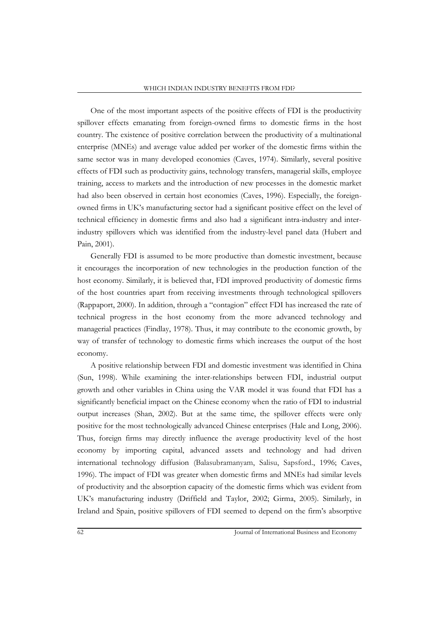One of the most important aspects of the positive effects of FDI is the productivity spillover effects emanating from foreign-owned firms to domestic firms in the host country. The existence of positive correlation between the productivity of a multinational enterprise (MNEs) and average value added per worker of the domestic firms within the same sector was in many developed economies (Caves, 1974). Similarly, several positive effects of FDI such as productivity gains, technology transfers, managerial skills, employee training, access to markets and the introduction of new processes in the domestic market had also been observed in certain host economies (Caves, 1996). Especially, the foreignowned firms in UK's manufacturing sector had a significant positive effect on the level of technical efficiency in domestic firms and also had a significant intra-industry and interindustry spillovers which was identified from the industry-level panel data (Hubert and Pain, 2001).

Generally FDI is assumed to be more productive than domestic investment, because it encourages the incorporation of new technologies in the production function of the host economy. Similarly, it is believed that, FDI improved productivity of domestic firms of the host countries apart from receiving investments through technological spillovers (Rappaport, 2000). In addition, through a "contagion" effect FDI has increased the rate of technical progress in the host economy from the more advanced technology and managerial practices (Findlay, 1978). Thus, it may contribute to the economic growth, by way of transfer of technology to domestic firms which increases the output of the host economy.

A positive relationship between FDI and domestic investment was identified in China (Sun, 1998). While examining the inter-relationships between FDI, industrial output growth and other variables in China using the VAR model it was found that FDI has a significantly beneficial impact on the Chinese economy when the ratio of FDI to industrial output increases (Shan, 2002). But at the same time, the spillover effects were only positive for the most technologically advanced Chinese enterprises (Hale and Long, 2006). Thus, foreign firms may directly influence the average productivity level of the host economy by importing capital, advanced assets and technology and had driven international technology diffusion (Balasubramanyam, Salisu, Sapsford., 1996; Caves, 1996). The impact of FDI was greater when domestic firms and MNEs had similar levels of productivity and the absorption capacity of the domestic firms which was evident from UK's manufacturing industry (Driffield and Taylor, 2002; Girma, 2005). Similarly, in Ireland and Spain, positive spillovers of FDI seemed to depend on the firm's absorptive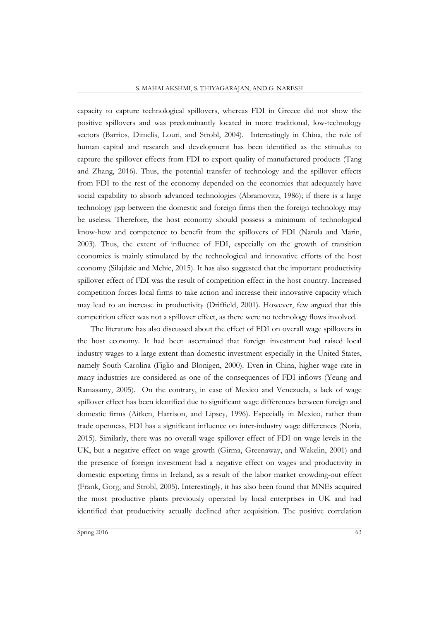capacity to capture technological spillovers, whereas FDI in Greece did not show the positive spillovers and was predominantly located in more traditional, low-technology sectors (Barrios, Dimelis, Louri, and Strobl, 2004). Interestingly in China, the role of human capital and research and development has been identified as the stimulus to capture the spillover effects from FDI to export quality of manufactured products (Tang and Zhang, 2016). Thus, the potential transfer of technology and the spillover effects from FDI to the rest of the economy depended on the economies that adequately have social capability to absorb advanced technologies (Abramovitz, 1986); if there is a large technology gap between the domestic and foreign firms then the foreign technology may be useless. Therefore, the host economy should possess a minimum of technological know-how and competence to benefit from the spillovers of FDI (Narula and Marin, 2003). Thus, the extent of influence of FDI, especially on the growth of transition economies is mainly stimulated by the technological and innovative efforts of the host economy (Silajdzic and Mehic, 2015). It has also suggested that the important productivity spillover effect of FDI was the result of competition effect in the host country. Increased competition forces local firms to take action and increase their innovative capacity which may lead to an increase in productivity (Driffield, 2001). However, few argued that this competition effect was not a spillover effect, as there were no technology flows involved.

The literature has also discussed about the effect of FDI on overall wage spillovers in the host economy. It had been ascertained that foreign investment had raised local industry wages to a large extent than domestic investment especially in the United States, namely South Carolina (Figlio and Blonigen, 2000). Even in China, higher wage rate in many industries are considered as one of the consequences of FDI inflows (Yeung and Ramasamy, 2005). On the contrary, in case of Mexico and Venezuela, a lack of wage spillover effect has been identified due to significant wage differences between foreign and domestic firms (Aitken, Harrison, and Lipsey, 1996). Especially in Mexico, rather than trade openness, FDI has a significant influence on inter-industry wage differences (Noria, 2015). Similarly, there was no overall wage spillover effect of FDI on wage levels in the UK, but a negative effect on wage growth (Girma, Greenaway, and Wakelin, 2001) and the presence of foreign investment had a negative effect on wages and productivity in domestic exporting firms in Ireland, as a result of the labor market crowding-out effect (Frank, Gorg, and Strobl, 2005). Interestingly, it has also been found that MNEs acquired the most productive plants previously operated by local enterprises in UK and had identified that productivity actually declined after acquisition. The positive correlation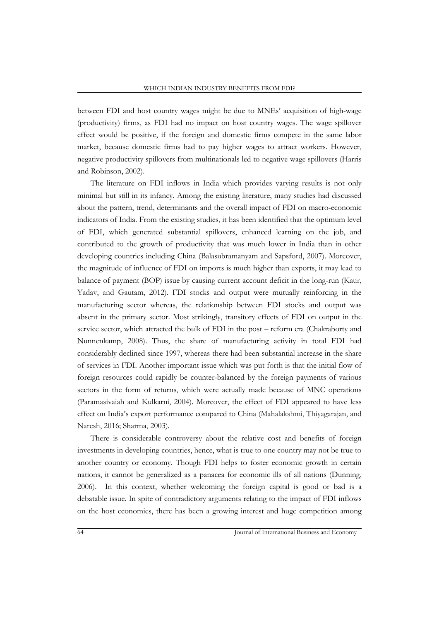between FDI and host country wages might be due to MNEs' acquisition of high-wage (productivity) firms, as FDI had no impact on host country wages. The wage spillover effect would be positive, if the foreign and domestic firms compete in the same labor market, because domestic firms had to pay higher wages to attract workers. However, negative productivity spillovers from multinationals led to negative wage spillovers (Harris and Robinson, 2002).

The literature on FDI inflows in India which provides varying results is not only minimal but still in its infancy. Among the existing literature, many studies had discussed about the pattern, trend, determinants and the overall impact of FDI on macro-economic indicators of India. From the existing studies, it has been identified that the optimum level of FDI, which generated substantial spillovers, enhanced learning on the job, and contributed to the growth of productivity that was much lower in India than in other developing countries including China (Balasubramanyam and Sapsford, 2007). Moreover, the magnitude of influence of FDI on imports is much higher than exports, it may lead to balance of payment (BOP) issue by causing current account deficit in the long-run (Kaur, Yadav, and Gautam, 2012). FDI stocks and output were mutually reinforcing in the manufacturing sector whereas, the relationship between FDI stocks and output was absent in the primary sector. Most strikingly, transitory effects of FDI on output in the service sector, which attracted the bulk of FDI in the post – reform era (Chakraborty and Nunnenkamp, 2008). Thus, the share of manufacturing activity in total FDI had considerably declined since 1997, whereas there had been substantial increase in the share of services in FDI. Another important issue which was put forth is that the initial flow of foreign resources could rapidly be counter-balanced by the foreign payments of various sectors in the form of returns, which were actually made because of MNC operations (Paramasivaiah and Kulkarni, 2004). Moreover, the effect of FDI appeared to have less effect on India's export performance compared to China (Mahalakshmi, Thiyagarajan, and Naresh, 2016; Sharma, 2003).

There is considerable controversy about the relative cost and benefits of foreign investments in developing countries, hence, what is true to one country may not be true to another country or economy. Though FDI helps to foster economic growth in certain nations, it cannot be generalized as a panacea for economic ills of all nations (Dunning, 2006). In this context, whether welcoming the foreign capital is good or bad is a debatable issue. In spite of contradictory arguments relating to the impact of FDI inflows on the host economies, there has been a growing interest and huge competition among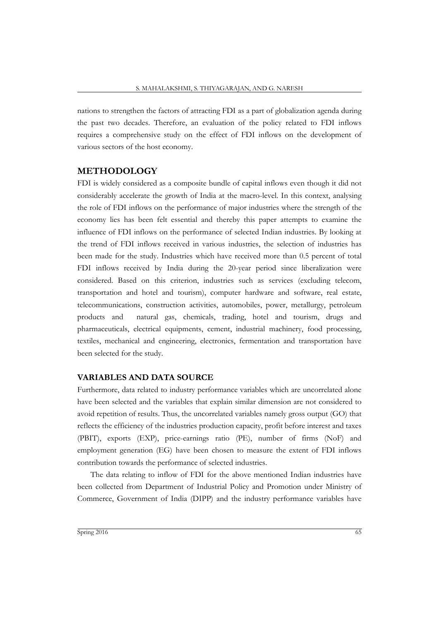nations to strengthen the factors of attracting FDI as a part of globalization agenda during the past two decades. Therefore, an evaluation of the policy related to FDI inflows requires a comprehensive study on the effect of FDI inflows on the development of various sectors of the host economy.

#### **METHODOLOGY**

FDI is widely considered as a composite bundle of capital inflows even though it did not considerably accelerate the growth of India at the macro-level. In this context, analysing the role of FDI inflows on the performance of major industries where the strength of the economy lies has been felt essential and thereby this paper attempts to examine the influence of FDI inflows on the performance of selected Indian industries. By looking at the trend of FDI inflows received in various industries, the selection of industries has been made for the study. Industries which have received more than 0.5 percent of total FDI inflows received by India during the 20-year period since liberalization were considered. Based on this criterion, industries such as services (excluding telecom, transportation and hotel and tourism), computer hardware and software, real estate, telecommunications, construction activities, automobiles, power, metallurgy, petroleum products and natural gas, chemicals, trading, hotel and tourism, drugs and pharmaceuticals, electrical equipments, cement, industrial machinery, food processing, textiles, mechanical and engineering, electronics, fermentation and transportation have been selected for the study.

#### **VARIABLES AND DATA SOURCE**

Furthermore, data related to industry performance variables which are uncorrelated alone have been selected and the variables that explain similar dimension are not considered to avoid repetition of results. Thus, the uncorrelated variables namely gross output (GO) that reflects the efficiency of the industries production capacity, profit before interest and taxes (PBIT), exports (EXP), price-earnings ratio (PE), number of firms (NoF) and employment generation (EG) have been chosen to measure the extent of FDI inflows contribution towards the performance of selected industries.

The data relating to inflow of FDI for the above mentioned Indian industries have been collected from Department of Industrial Policy and Promotion under Ministry of Commerce, Government of India (DIPP) and the industry performance variables have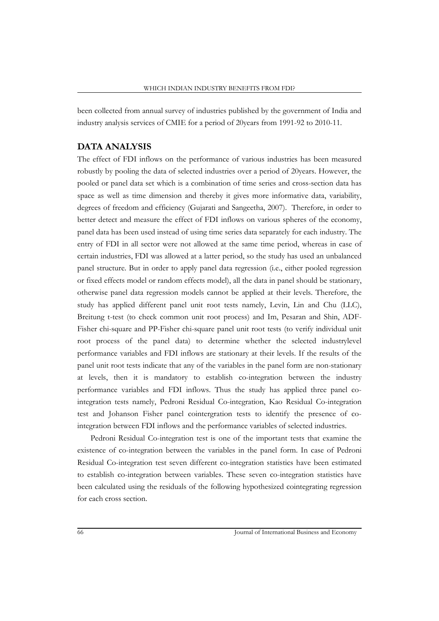been collected from annual survey of industries published by the government of India and industry analysis services of CMIE for a period of 20years from 1991-92 to 2010-11.

## **DATA ANALYSIS**

The effect of FDI inflows on the performance of various industries has been measured robustly by pooling the data of selected industries over a period of 20years. However, the pooled or panel data set which is a combination of time series and cross-section data has space as well as time dimension and thereby it gives more informative data, variability, degrees of freedom and efficiency (Gujarati and Sangeetha, 2007). Therefore, in order to better detect and measure the effect of FDI inflows on various spheres of the economy, panel data has been used instead of using time series data separately for each industry. The entry of FDI in all sector were not allowed at the same time period, whereas in case of certain industries, FDI was allowed at a latter period, so the study has used an unbalanced panel structure. But in order to apply panel data regression (i.e., either pooled regression or fixed effects model or random effects model), all the data in panel should be stationary, otherwise panel data regression models cannot be applied at their levels. Therefore, the study has applied different panel unit root tests namely, Levin, Lin and Chu (LLC), Breitung t-test (to check common unit root process) and Im, Pesaran and Shin, ADF-Fisher chi-square and PP-Fisher chi-square panel unit root tests (to verify individual unit root process of the panel data) to determine whether the selected industrylevel performance variables and FDI inflows are stationary at their levels. If the results of the panel unit root tests indicate that any of the variables in the panel form are non-stationary at levels, then it is mandatory to establish co-integration between the industry performance variables and FDI inflows. Thus the study has applied three panel cointegration tests namely, Pedroni Residual Co-integration, Kao Residual Co-integration test and Johanson Fisher panel cointergration tests to identify the presence of cointegration between FDI inflows and the performance variables of selected industries.

Pedroni Residual Co-integration test is one of the important tests that examine the existence of co-integration between the variables in the panel form. In case of Pedroni Residual Co-integration test seven different co-integration statistics have been estimated to establish co-integration between variables. These seven co-integration statistics have been calculated using the residuals of the following hypothesized cointegrating regression for each cross section.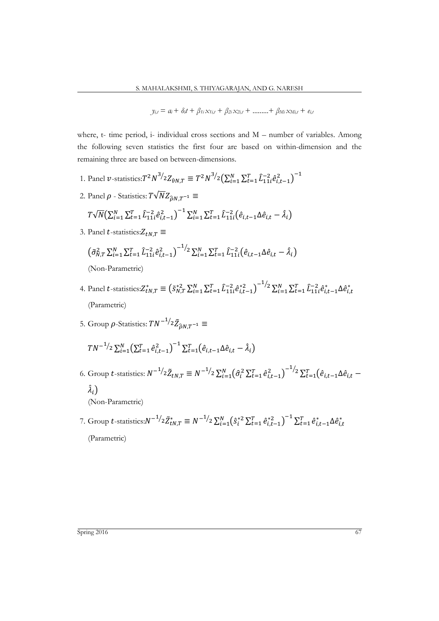$$
y_{i,t} = a_i + \delta_i t + \beta_{1i} x_{1i,t} + \beta_{2i} x_{2i,t} + \dots + \beta_{Mi} x_{Mi,t} + e_{i,t}
$$

where, t- time period, i- individual cross sections and M – number of variables. Among the following seven statistics the first four are based on within-dimension and the remaining three are based on between-dimensions.

- 1. Panel v-statistics: $T^2 N^{3/2} Z_{\hat{v}N,T} \equiv T^2 N^{3/2} \left( \sum_{i=1}^N \sum_{t=1}^T \hat{L}_{11i}^{-2} \hat{e}_{i,t-1}^2 \right)^{-1}$
- 2. Panel  $\rho$  Statistics:  $T\sqrt{N}Z_{\hat{\rho}N,T^{-1}} \equiv$

$$
T\sqrt{N}\left(\sum_{i=1}^{N}\sum_{t=1}^{T}\hat{L}_{11i}^{-2}\hat{e}_{i,t-1}^{2}\right)^{-1}\sum_{i=1}^{N}\sum_{t=1}^{T}\hat{L}_{11i}^{-2}\left(\hat{e}_{i,t-1}\Delta\hat{e}_{i,t}-\hat{\lambda}_{i}\right)
$$

3. Panel  $t$ -statistics: $Z_{tN,T} \equiv$ 

$$
\left(\tilde{\sigma}_{N,T}^{2} \sum_{i=1}^{N} \sum_{t=1}^{T} \hat{L}_{11i}^{-2} \hat{e}_{i,t-1}^{2}\right)^{-1/2} \sum_{i=1}^{N} \sum_{t=1}^{T} \hat{L}_{11i}^{-2} \left(\hat{e}_{i,t-1} \Delta \hat{e}_{i,t} - \hat{\lambda}_{i}\right)
$$
\n(Non-Parametric)

- 4. Panel *t*-statistics: $Z_{tN,T}^* \equiv \left( \tilde{s}_{N,T}^{*2} \sum_{i=1}^N \sum_{t=1}^T \tilde{L}_{11i}^{-2} \hat{e}_{i,t-1}^{*2} \right)$  $\sum_{i=1}^{n} \sum_{t=1}^{N} \sum_{t=1}^{T} \hat{L}_{11i}^{-2} \hat{e}_{i,t-1}^{*} \Delta \hat{e}_{i,t}^{*}$ (Parametric)
- 5. Group  $\rho$ -Statistics:  $TN^{-1/2}\tilde{Z}_{\hat{\rho}N,T^{-1}} \equiv$

$$
TN^{-1/2}\sum_{i=1}^{N}\left(\sum_{t=1}^{T}\hat{e}_{i,t-1}^{2}\right)^{-1}\sum_{t=1}^{T}\left(\hat{e}_{i,t-1}\Delta\hat{e}_{i,t}-\hat{\lambda}_{i}\right)
$$

6. Group *t*-statistics:  $N^{-1/2} \tilde{Z}_{tN,T} \equiv N^{-1/2} \sum_{i=1}^{N} (\hat{\sigma}_i^2 \sum_{t=1}^{T} \hat{e}_{i,t-1}^2)$  $\sum_{i=1}^{N}(\hat{\sigma}_{i}^{2}\sum_{t=1}^{T}\hat{e}_{i,t-1}^{2})^{-1/2}\sum_{t=1}^{T}(\hat{e}_{i,t-1}\Delta\hat{e}_{i,t-1})$ 

 $\hat{\lambda}_i$ (Non-Parametric)

7. Group t-statistics: $N^{-1/2} \tilde{Z}_{tN,T}^* \equiv N^{-1/2} \sum_{i=1}^N (\hat{s}_i^*{}^2 \sum_{t=1}^T \hat{e}_{i,t-1}^*{}^2)^{-1} \sum_{t=1}^T \hat{e}_{i,t-1}^* \Delta \hat{e}_{i,t}^*$ (Parametric)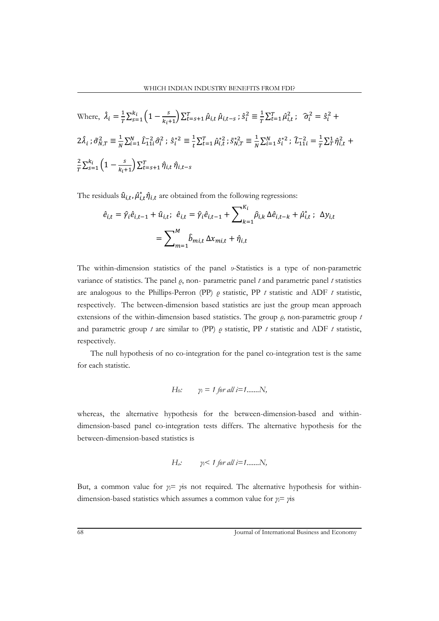Where, 
$$
\hat{\lambda}_i = \frac{1}{T} \sum_{s=1}^{k_i} \left( 1 - \frac{s}{k_i + 1} \right) \sum_{t=s+1}^{T} \hat{\mu}_{i,t} \hat{\mu}_{i,t-s} ; \hat{s}_i^2 \equiv \frac{1}{T} \sum_{t=1}^{T} \hat{\mu}_{i,t}^2 ; \quad \hat{\sigma}_i^2 = \hat{s}_i^2 +
$$
  
\n $2\hat{\lambda}_i ; \tilde{\sigma}_{N,T}^2 \equiv \frac{1}{N} \sum_{i=1}^{N} \hat{L}_{11i}^2 \hat{\sigma}_i^2 ; \hat{s}_i^{*2} \equiv \frac{1}{t} \sum_{t=1}^{T} \hat{\mu}_{i,t}^2 ; \tilde{s}_{N,T}^{*2} \equiv \frac{1}{N} \sum_{i=1}^{N} \hat{s}_i^{*2} ; \hat{L}_{11i}^{-2} = \frac{1}{T} \sum_{t}^{1} \hat{\eta}_{i,t}^2 +$   
\n $\frac{2}{T} \sum_{s=1}^{k_i} \left( 1 - \frac{s}{k_i + 1} \right) \sum_{t=s+1}^{T} \hat{\eta}_{i,t} \hat{\eta}_{i,t-s}$ 

The residuals  $\hat{u}_{i,t}$ ,  $\hat{\mu}_{i,t}^* \hat{\eta}_{i,t}$  are obtained from the following regressions:

$$
\hat{e}_{i,t} = \hat{\gamma}_i \hat{e}_{i,t-1} + \hat{u}_{i,t}; \quad \hat{e}_{i,t} = \hat{\gamma}_i \hat{e}_{i,t-1} + \sum_{k=1}^{K_i} \hat{\rho}_{i,k} \Delta \hat{e}_{i,t-k} + \hat{\mu}_{i,t}^* ; \quad \Delta y_{i,t}
$$
\n
$$
= \sum_{m=1}^{M} \hat{b}_{mi,t} \Delta x_{mi,t} + \hat{\eta}_{i,t}
$$

The within-dimension statistics of the panel *υ*-Statistics is a type of non-parametric variance of statistics. The panel *ρ*, non- parametric panel *t* and parametric panel *t* statistics are analogous to the Phillips-Perron (PP) *ρ* statistic, PP *t* statistic and ADF *t* statistic, respectively. The between-dimension based statistics are just the group mean approach extensions of the within-dimension based statistics. The group *ρ,* non-parametric group *t* and parametric group *t* are similar to (PP) *ρ* statistic, PP *t* statistic and ADF *t* statistic, respectively.

The null hypothesis of no co-integration for the panel co-integration test is the same for each statistic.

*H*<sub>0</sub>: 
$$
y_i = 1
$$
 for all  $i = 1$ ......*N*,

whereas, the alternative hypothesis for the between-dimension-based and withindimension-based panel co-integration tests differs. The alternative hypothesis for the between-dimension-based statistics is

$$
H_a: \t\gamma_i < 1 \text{ for all } i=1,\ldots,N,
$$

But, a common value for  $\gamma$ *<sub>i</sub>*= *γ*is not required. The alternative hypothesis for withindimension-based statistics which assumes a common value for *γi*= *γ*is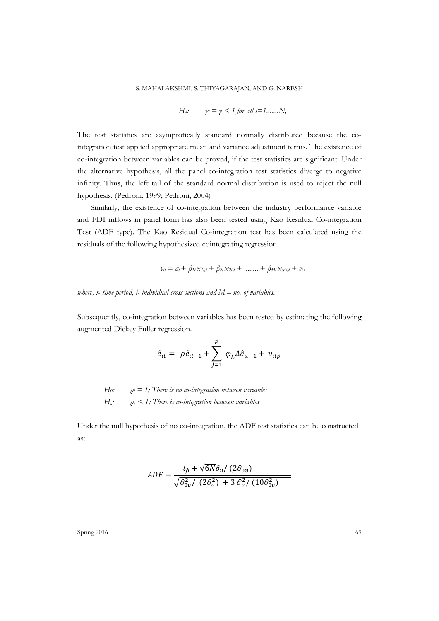$$
H_a: \t\gamma_i = \gamma < 1 \text{ for all } i = 1, \dots, N,
$$

The test statistics are asymptotically standard normally distributed because the cointegration test applied appropriate mean and variance adjustment terms. The existence of co-integration between variables can be proved, if the test statistics are significant. Under the alternative hypothesis, all the panel co-integration test statistics diverge to negative infinity. Thus, the left tail of the standard normal distribution is used to reject the null hypothesis. (Pedroni, 1999; Pedroni, 2004)

Similarly, the existence of co-integration between the industry performance variable and FDI inflows in panel form has also been tested using Kao Residual Co-integration Test (ADF type). The Kao Residual Co-integration test has been calculated using the residuals of the following hypothesized cointegrating regression.

$$
y_{it} = a_i + \beta_{1i} x_{1i,t} + \beta_{2i} x_{2i,t} + \dots + \beta_{Mi} x_{Mi,t} + e_{i,t}
$$

*where, t- time period, i- individual cross sections and M – no. of variables.*

Subsequently, co-integration between variables has been tested by estimating the following augmented Dickey Fuller regression.

$$
\hat{e}_{it} = \rho \hat{e}_{it-1} + \sum_{j=1}^{p} \varphi_{j} \Delta \hat{e}_{it-1} + v_{itp}
$$

 $H_0:$   $\rho_i = 1$ ; There is no co-integration between variables *Ha: ρi < 1; There is co-integration between variables*

Under the null hypothesis of no co-integration, the ADF test statistics can be constructed as:

$$
ADF = \frac{t_{\hat{\rho}} + \sqrt{6N\hat{\sigma}_v/(2\hat{\sigma}_{0v})}}{\sqrt{\hat{\sigma}_{0v}^2/(2\hat{\sigma}_v^2) + 3\hat{\sigma}_v^2/(10\hat{\sigma}_{0v}^2)}}
$$

 $\frac{1}{2}$ Spring 2016 69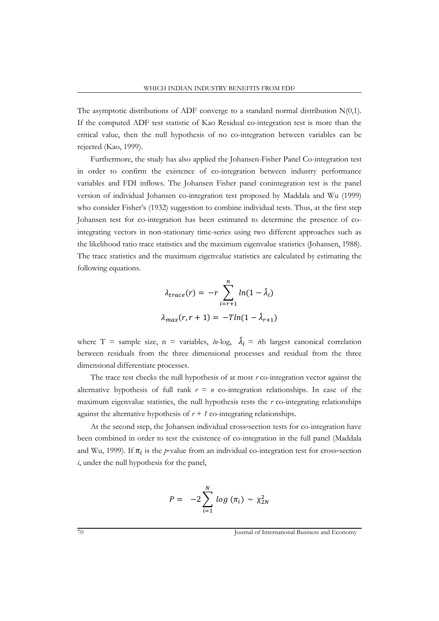The asymptotic distributions of ADF converge to a standard normal distribution  $N(0,1)$ . If the computed ADF test statistic of Kao Residual co-integration test is more than the critical value, then the null hypothesis of no co-integration between variables can be rejected (Kao, 1999).

Furthermore, the study has also applied the Johansen-Fisher Panel Co-integration test in order to confirm the existence of co-integration between industry performance variables and FDI inflows. The Johansen Fisher panel conintegration test is the panel version of individual Johansen co-integration test proposed by Maddala and Wu (1999) who consider Fisher's (1932) suggestion to combine individual tests. Thus, at the first step Johansen test for co-integration has been estimated to determine the presence of cointegrating vectors in non-stationary time-series using two different approaches such as the likelihood ratio trace statistics and the maximum eigenvalue statistics (Johansen, 1988). The trace statistics and the maximum eigenvalue statistics are calculated by estimating the following equations.

$$
\lambda_{trace}(r) = -r \sum_{i=r+1}^{n} ln(1 - \hat{\lambda}_i)
$$

$$
\lambda_{max}(r, r+1) = -Tln(1 - \hat{\lambda}_{r+1})
$$

where T = sample size,  $n =$  variables,  $ln-log$ ,  $\lambda_i = i$ th largest canonical correlation between residuals from the three dimensional processes and residual from the three dimensional differentiate processes.

The trace test checks the null hypothesis of at most *r* co-integration vector against the alternative hypothesis of full rank  $r = n$  co-integration relationships. In case of the maximum eigenvalue statistics, the null hypothesis tests the *r* co-integrating relationships against the alternative hypothesis of  $r + 1$  co-integrating relationships.

At the second step, the Johansen individual cross-section tests for co-integration have been combined in order to test the existence of co-integration in the full panel (Maddala and Wu, 1999). If  $\pi_i$  is the *p*-value from an individual co-integration test for cross-section *i*, under the null hypothesis for the panel,

$$
P = -2\sum_{i=1}^{N} log(\pi_i) \sim \chi_{2N}^2
$$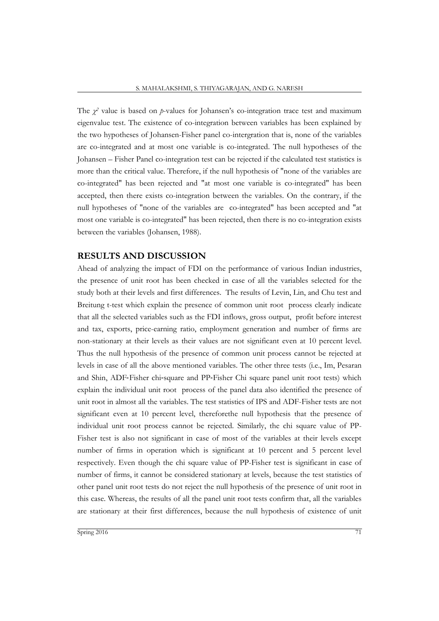The  $\chi^2$  value is based on *p*-values for Johansen's co-integration trace test and maximum eigenvalue test. The existence of co-integration between variables has been explained by the two hypotheses of Johansen-Fisher panel co-intergration that is, none of the variables are co-integrated and at most one variable is co-integrated. The null hypotheses of the Johansen – Fisher Panel co-integration test can be rejected if the calculated test statistics is more than the critical value. Therefore, if the null hypothesis of "none of the variables are co-integrated" has been rejected and "at most one variable is co-integrated" has been accepted, then there exists co-integration between the variables. On the contrary, if the null hypotheses of "none of the variables are co-integrated" has been accepted and "at most one variable is co-integrated" has been rejected, then there is no co-integration exists between the variables (Johansen, 1988).

## **RESULTS AND DISCUSSION**

Ahead of analyzing the impact of FDI on the performance of various Indian industries, the presence of unit root has been checked in case of all the variables selected for the study both at their levels and first differences. The results of Levin, Lin, and Chu test and Breitung t-test which explain the presence of common unit root process clearly indicate that all the selected variables such as the FDI inflows, gross output, profit before interest and tax, exports, price-earning ratio, employment generation and number of firms are non-stationary at their levels as their values are not significant even at 10 percent level. Thus the null hypothesis of the presence of common unit process cannot be rejected at levels in case of all the above mentioned variables. The other three tests (i.e., Im, Pesaran and Shin, ADF‐Fisher chi‐square and PP‐Fisher Chi square panel unit root tests) which explain the individual unit root process of the panel data also identified the presence of unit root in almost all the variables. The test statistics of IPS and ADF-Fisher tests are not significant even at 10 percent level, thereforethe null hypothesis that the presence of individual unit root process cannot be rejected. Similarly, the chi square value of PP-Fisher test is also not significant in case of most of the variables at their levels except number of firms in operation which is significant at 10 percent and 5 percent level respectively. Even though the chi square value of PP-Fisher test is significant in case of number of firms, it cannot be considered stationary at levels, because the test statistics of other panel unit root tests do not reject the null hypothesis of the presence of unit root in this case. Whereas, the results of all the panel unit root tests confirm that, all the variables are stationary at their first differences, because the null hypothesis of existence of unit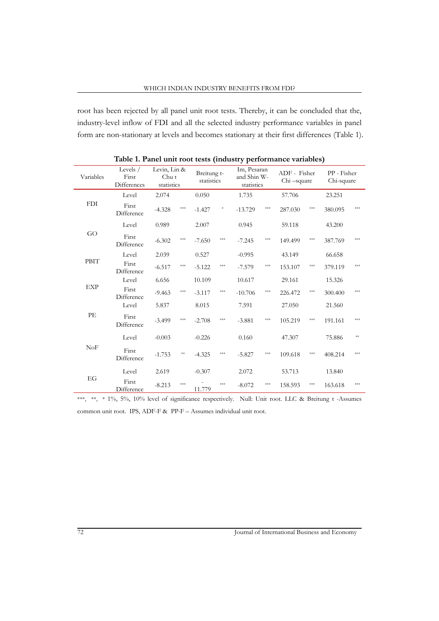root has been rejected by all panel unit root tests. Thereby, it can be concluded that the, industry-level inflow of FDI and all the selected industry performance variables in panel form are non-stationary at levels and becomes stationary at their first differences (Table 1).

| Variables   | Levels $/$<br>First<br><b>Differences</b> | Levin, Lin &<br>Chu t<br>statistics |                | Breitung t-<br>statistics |                   | Im, Pesaran<br>and Shin W-<br>statistics |         | ADF - Fisher<br>Chi-square |                       | PP - Fisher<br>Chi-square |     |
|-------------|-------------------------------------------|-------------------------------------|----------------|---------------------------|-------------------|------------------------------------------|---------|----------------------------|-----------------------|---------------------------|-----|
|             | Level                                     | 2.074                               |                | 0.050                     |                   | 1.735                                    |         | 57.706                     |                       | 23.251                    |     |
| <b>FDI</b>  | First<br>Difference                       | $-4.328$                            | ***            | $-1.427$                  | $\ast$            | $-13.729$                                | ***     | 287.030                    | ***                   | 380.095                   | *** |
|             | Level                                     | 0.989                               |                | 2.007                     |                   | 0.945                                    |         | 59.118                     |                       | 43.200                    |     |
| GO          | First<br>Difference                       | $-6.302$                            | ***            | $-7.650$                  | $\frac{1}{2}$     | $-7.245$                                 | $* * *$ | 149.499                    | $\pm\!\times\!\times$ | 387.769                   | *** |
|             | Level                                     | 2.039                               |                | 0.527                     |                   | $-0.995$                                 |         | 43.149                     |                       | 66.658                    |     |
| <b>PBIT</b> | First<br>Difference                       | $-6.517$                            | ***            | $-5.122$                  | ***               | $-7.579$                                 | $* * *$ | 153.107                    | $\pm\!\times\!\times$ | 379.119                   | *** |
|             | Level                                     | 6.656                               |                | 10.109                    |                   | 10.617                                   |         | 29.161                     |                       | 15.326                    |     |
| <b>EXP</b>  | First<br>Difference                       | $-9.463$                            | ***            | $-3.117$                  | $\star\star\star$ | $-10.706$                                | $* * *$ | 226.472                    | ***                   | 300.400                   | *** |
|             | Level                                     | 5.837                               |                | 8.015                     |                   | 7.591                                    |         | 27.050                     |                       | 21.560                    |     |
| PЕ          | First<br>Difference                       | $-3.499$                            | ***            | $-2.708$                  | ***               | $-3.881$                                 | $* * *$ | 105.219                    | $\pm\!\times\!\times$ | 191.161                   | *** |
|             | Level                                     | $-0.003$                            |                | $-0.226$                  |                   | 0.160                                    |         | 47.307                     |                       | 75.886                    | **  |
| NoF         | First<br>Difference                       | $-1.753$                            | $\ast\!\!\ast$ | $-4.325$                  | ***               | $-5.827$                                 | ***     | 109.618                    | ***                   | 408.214                   | *** |
|             | Level                                     | 2.619                               |                | $-0.307$                  |                   | 2.072                                    |         | 53.713                     |                       | 13.840                    |     |
| EG          | First<br>Difference                       | $-8.213$                            | ***            | 11.779                    | ***               | $-8.072$                                 | ***     | 158.593                    | ***                   | 163.618                   | *** |

**Table 1. Panel unit root tests (industry performance variables)**

\*\*\*, \*\*, \* 1%, 5%, 10% level of significance respectively. Null: Unit root. LLC & Breitung t -Assumes common unit root. IPS, ADF-F & PP-F – Assumes individual unit root.

72 Journal of International Business and Economy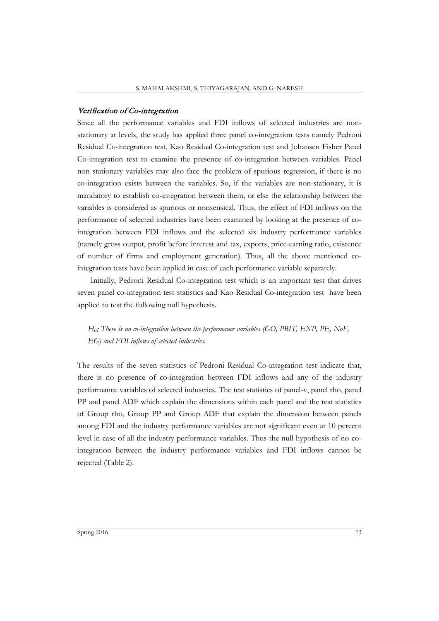## Verification of Co-integration

Since all the performance variables and FDI inflows of selected industries are nonstationary at levels, the study has applied three panel co-integration tests namely Pedroni Residual Co-integration test, Kao Residual Co-integration test and Johansen Fisher Panel Co-integration test to examine the presence of co-integration between variables. Panel non stationary variables may also face the problem of spurious regression, if there is no co-integration exists between the variables. So, if the variables are non-stationary, it is mandatory to establish co-integration between them, or else the relationship between the variables is considered as spurious or nonsensical. Thus, the effect of FDI inflows on the performance of selected industries have been examined by looking at the presence of cointegration between FDI inflows and the selected six industry performance variables (namely gross output, profit before interest and tax, exports, price-earning ratio, existence of number of firms and employment generation). Thus, all the above mentioned cointegration tests have been applied in case of each performance variable separately.

Initially, Pedroni Residual Co-integration test which is an important test that drives seven panel co-integration test statistics and Kao Residual Co-integration test have been applied to test the following null hypothesis.

*H0*: *There is no co-integration between the performance variables (GO, PBIT, EXP, PE, NoF, EG) and FDI inflows of selected industries.*

The results of the seven statistics of Pedroni Residual Co-integration test indicate that, there is no presence of co-integration between FDI inflows and any of the industry performance variables of selected industries. The test statistics of panel-v, panel rho, panel PP and panel ADF which explain the dimensions within each panel and the test statistics of Group rho, Group PP and Group ADF that explain the dimension between panels among FDI and the industry performance variables are not significant even at 10 percent level in case of all the industry performance variables. Thus the null hypothesis of no cointegration between the industry performance variables and FDI inflows cannot be rejected (Table 2).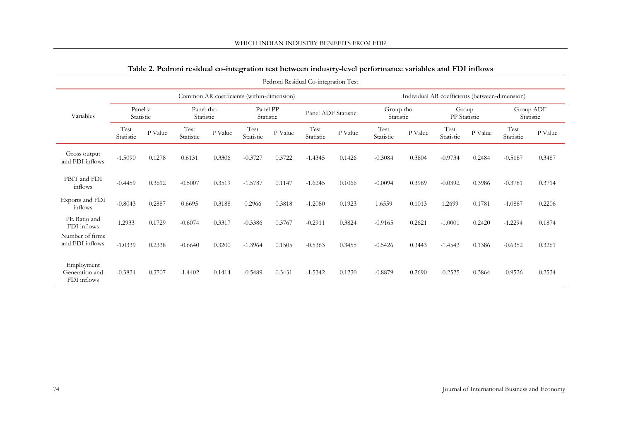|                                             |                      |         |                        |                                           |                   |          | Pedroni Residual Co-integration Test |                                                |                        |         |                       |         |                                             |           |
|---------------------------------------------|----------------------|---------|------------------------|-------------------------------------------|-------------------|----------|--------------------------------------|------------------------------------------------|------------------------|---------|-----------------------|---------|---------------------------------------------|-----------|
|                                             |                      |         |                        | Common AR coefficients (within-dimension) |                   |          |                                      | Individual AR coefficients (between-dimension) |                        |         |                       |         |                                             |           |
| Variables                                   | Panel v<br>Statistic |         | Panel rho<br>Statistic |                                           | Statistic         | Panel PP |                                      | Panel ADF Statistic                            | Group rho<br>Statistic |         | Group<br>PP Statistic |         | Group ADF                                   | Statistic |
|                                             | Test<br>Statistic    | P Value | Test<br>Statistic      | P Value                                   | Test<br>Statistic | P Value  | Test<br>Statistic                    | P Value                                        | Test<br>Statistic      | P Value | Test<br>Statistic     | P Value | $\operatorname{\mathsf{Test}}$<br>Statistic | P Value   |
| Gross output<br>and FDI inflows             | $-1.5090$            | 0.1278  | 0.6131                 | 0.3306                                    | $-0.3727$         | 0.3722   | $-1.4345$                            | 0.1426                                         | $-0.3084$              | 0.3804  | $-0.9734$             | 0.2484  | $-0.5187$                                   | 0.3487    |
| PBIT and FDI<br>inflows                     | $-0.4459$            | 0.3612  | $-0.5007$              | 0.3519                                    | $-1.5787$         | 0.1147   | $-1.6245$                            | 0.1066                                         | $-0.0094$              | 0.3989  | $-0.0392$             | 0.3986  | $-0.3781$                                   | 0.3714    |
| Exports and FDI<br>inflows                  | $-0.8043$            | 0.2887  | 0.6695                 | 0.3188                                    | 0.2966            | 0.3818   | $-1.2080$                            | 0.1923                                         | 1.6559                 | 0.1013  | 1.2699                | 0.1781  | $-1.0887$                                   | 0.2206    |
| PE Ratio and<br>FDI inflows                 | 1.2933               | 0.1729  | $-0.6074$              | 0.3317                                    | $-0.3386$         | 0.3767   | $-0.2911$                            | 0.3824                                         | $-0.9165$              | 0.2621  | $-1.0001$             | 0.2420  | $-1.2294$                                   | 0.1874    |
| Number of firms<br>and FDI inflows          | $-1.0339$            | 0.2338  | $-0.6640$              | 0.3200                                    | $-1.3964$         | 0.1505   | $-0.5363$                            | 0.3455                                         | $-0.5426$              | 0.3443  | $-1.4543$             | 0.1386  | $-0.6352$                                   | 0.3261    |
| Employment<br>Generation and<br>FDI inflows | $-0.3834$            | 0.3707  | $-1.4402$              | 0.1414                                    | $-0.5489$         | 0.3431   | $-1.5342$                            | 0.1230                                         | $-0.8879$              | 0.2690  | $-0.2525$             | 0.3864  | $-0.9526$                                   | 0.2534    |

# **Table 2. Pedroni residual co-integration test between industry-level performance variables and FDI inflows**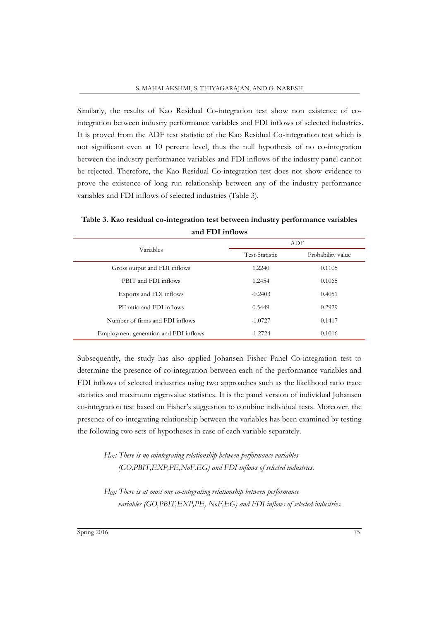Similarly, the results of Kao Residual Co-integration test show non existence of cointegration between industry performance variables and FDI inflows of selected industries. It is proved from the ADF test statistic of the Kao Residual Co-integration test which is not significant even at 10 percent level, thus the null hypothesis of no co-integration between the industry performance variables and FDI inflows of the industry panel cannot be rejected. Therefore, the Kao Residual Co-integration test does not show evidence to prove the existence of long run relationship between any of the industry performance variables and FDI inflows of selected industries (Table 3).

|                                       |                | ADF               |
|---------------------------------------|----------------|-------------------|
| Variables                             | Test-Statistic | Probability value |
| Gross output and FDI inflows          | 1.2240         | 0.1105            |
| PBIT and FDI inflows                  | 1.2454         | 0.1065            |
| Exports and FDI inflows               | $-0.2403$      | 0.4051            |
| PE ratio and FDI inflows              | 0.5449         | 0.2929            |
| Number of firms and FDI inflows       | $-1.0727$      | 0.1417            |
| Employment generation and FDI inflows | $-1.2724$      | 0.1016            |

**Table 3. Kao residual co-integration test between industry performance variables and FDI inflows**

Subsequently, the study has also applied Johansen Fisher Panel Co-integration test to determine the presence of co-integration between each of the performance variables and FDI inflows of selected industries using two approaches such as the likelihood ratio trace statistics and maximum eigenvalue statistics. It is the panel version of individual Johansen co-integration test based on Fisher's suggestion to combine individual tests. Moreover, the presence of co-integrating relationship between the variables has been examined by testing the following two sets of hypotheses in case of each variable separately.

*H01: There is no cointegrating relationship between performance variables (GO,PBIT,EXP,PE,NoF,EG) and FDI inflows of selected industries.*

*H02: There is at most one co-integrating relationship between performance variables (GO,PBIT,EXP,PE, NoF,EG) and FDI inflows of selected industries.*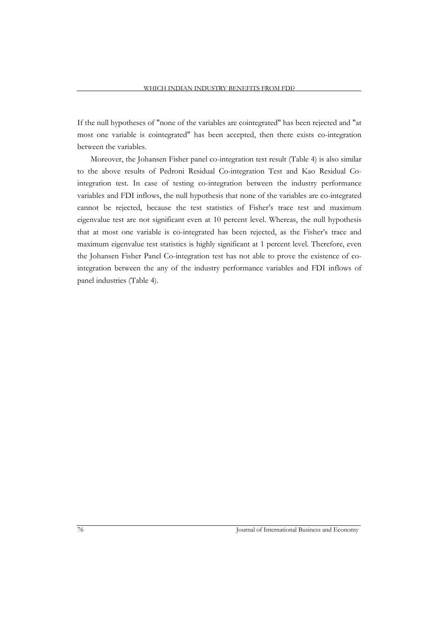If the null hypotheses of "none of the variables are cointegrated" has been rejected and "at most one variable is cointegrated" has been accepted, then there exists co-integration between the variables.

Moreover, the Johansen Fisher panel co-integration test result (Table 4) is also similar to the above results of Pedroni Residual Co-integration Test and Kao Residual Cointegration test. In case of testing co-integration between the industry performance variables and FDI inflows, the null hypothesis that none of the variables are co-integrated cannot be rejected, because the test statistics of Fisher's trace test and maximum eigenvalue test are not significant even at 10 percent level. Whereas, the null hypothesis that at most one variable is co-integrated has been rejected, as the Fisher's trace and maximum eigenvalue test statistics is highly significant at 1 percent level. Therefore, even the Johansen Fisher Panel Co-integration test has not able to prove the existence of cointegration between the any of the industry performance variables and FDI inflows of panel industries (Table 4).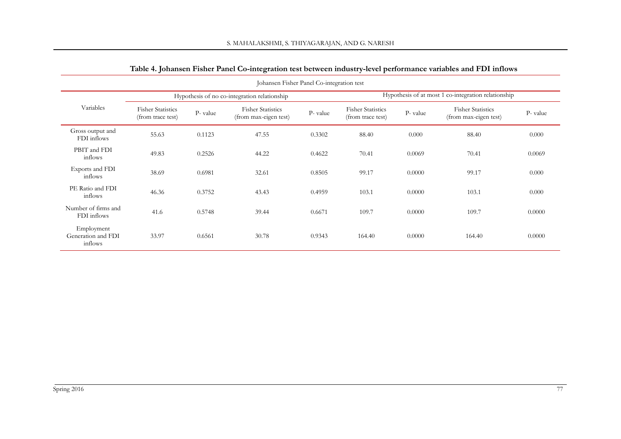|                                             |                                               |         | Johansen Fisher Panel Co-integration test         |         |                                               |         |                                                     |         |
|---------------------------------------------|-----------------------------------------------|---------|---------------------------------------------------|---------|-----------------------------------------------|---------|-----------------------------------------------------|---------|
|                                             |                                               |         | Hypothesis of no co-integration relationship      |         |                                               |         | Hypothesis of at most 1 co-integration relationship |         |
| Variables                                   | <b>Fisher Statistics</b><br>(from trace test) | P-value | <b>Fisher Statistics</b><br>(from max-eigen test) | P-value | <b>Fisher Statistics</b><br>(from trace test) | P-value | <b>Fisher Statistics</b><br>(from max-eigen test)   | P-value |
| Gross output and<br>FDI inflows             | 55.63                                         | 0.1123  | 47.55                                             | 0.3302  | 88.40                                         | 0.000   | 88.40                                               | 0.000   |
| PBIT and FDI<br>inflows                     | 49.83                                         | 0.2526  | 44.22                                             | 0.4622  | 70.41                                         | 0.0069  | 70.41                                               | 0.0069  |
| Exports and FDI<br>inflows                  | 38.69                                         | 0.6981  | 32.61                                             | 0.8505  | 99.17                                         | 0.0000  | 99.17                                               | 0.000   |
| PE Ratio and FDI<br>inflows                 | 46.36                                         | 0.3752  | 43.43                                             | 0.4959  | 103.1                                         | 0.0000  | 103.1                                               | 0.000   |
| Number of firms and<br>FDI inflows          | 41.6                                          | 0.5748  | 39.44                                             | 0.6671  | 109.7                                         | 0.0000  | 109.7                                               | 0.0000  |
| Employment<br>Generation and FDI<br>inflows | 33.97                                         | 0.6561  | 30.78                                             | 0.9343  | 164.40                                        | 0.0000  | 164.40                                              | 0.0000  |

# **Table 4. Johansen Fisher Panel Co-integration test between industry-level performance variables and FDI inflows**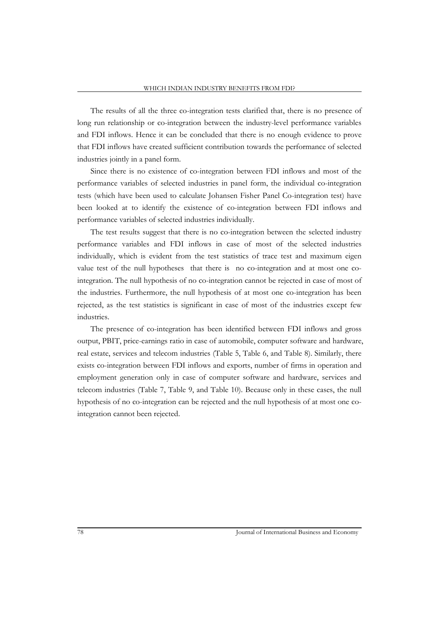The results of all the three co-integration tests clarified that, there is no presence of long run relationship or co-integration between the industry-level performance variables and FDI inflows. Hence it can be concluded that there is no enough evidence to prove that FDI inflows have created sufficient contribution towards the performance of selected industries jointly in a panel form.

Since there is no existence of co-integration between FDI inflows and most of the performance variables of selected industries in panel form, the individual co-integration tests (which have been used to calculate Johansen Fisher Panel Co-integration test) have been looked at to identify the existence of co-integration between FDI inflows and performance variables of selected industries individually.

The test results suggest that there is no co-integration between the selected industry performance variables and FDI inflows in case of most of the selected industries individually, which is evident from the test statistics of trace test and maximum eigen value test of the null hypotheses that there is no co-integration and at most one cointegration. The null hypothesis of no co-integration cannot be rejected in case of most of the industries. Furthermore, the null hypothesis of at most one co-integration has been rejected, as the test statistics is significant in case of most of the industries except few industries.

The presence of co-integration has been identified between FDI inflows and gross output, PBIT, price-earnings ratio in case of automobile, computer software and hardware, real estate, services and telecom industries (Table 5, Table 6, and Table 8). Similarly, there exists co-integration between FDI inflows and exports, number of firms in operation and employment generation only in case of computer software and hardware, services and telecom industries (Table 7, Table 9, and Table 10). Because only in these cases, the null hypothesis of no co-integration can be rejected and the null hypothesis of at most one cointegration cannot been rejected.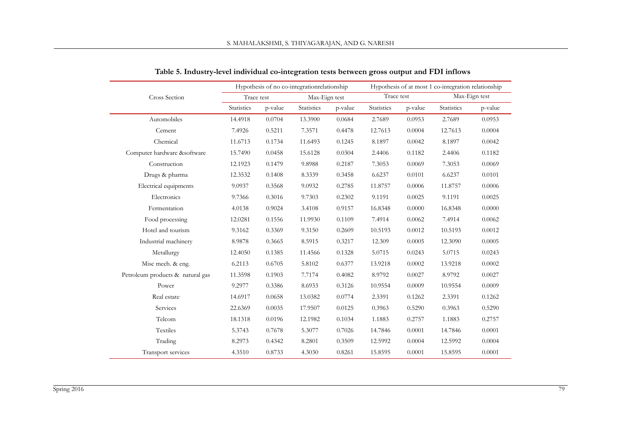|                                  |            |         | Hypothesis of no co-integrationrelationship |         |            |         | Hypothesis of at most 1 co-integration relationship |               |
|----------------------------------|------------|---------|---------------------------------------------|---------|------------|---------|-----------------------------------------------------|---------------|
| <b>Cross Section</b>             | Trace test |         | Max-Eign test                               |         | Trace test |         |                                                     | Max-Eign test |
|                                  | Statistics | p-value | Statistics                                  | p-value | Statistics | p-value | Statistics                                          | p-value       |
| Automobiles                      | 14.4918    | 0.0704  | 13.3900                                     | 0.0684  | 2.7689     | 0.0953  | 2.7689                                              | 0.0953        |
| Cement                           | 7.4926     | 0.5211  | 7.3571                                      | 0.4478  | 12.7613    | 0.0004  | 12.7613                                             | 0.0004        |
| Chemical                         | 11.6713    | 0.1734  | 11.6493                                     | 0.1245  | 8.1897     | 0.0042  | 8.1897                                              | 0.0042        |
| Computer hardware &software      | 15.7490    | 0.0458  | 15.6128                                     | 0.0304  | 2.4406     | 0.1182  | 2.4406                                              | 0.1182        |
| Construction                     | 12.1923    | 0.1479  | 9.8988                                      | 0.2187  | 7.3053     | 0.0069  | 7.3053                                              | 0.0069        |
| Drugs & pharma                   | 12.3532    | 0.1408  | 8.3339                                      | 0.3458  | 6.6237     | 0.0101  | 6.6237                                              | 0.0101        |
| Electrical equipments            | 9.0937     | 0.3568  | 9.0932                                      | 0.2785  | 11.8757    | 0.0006  | 11.8757                                             | 0.0006        |
| Electronics                      | 9.7366     | 0.3016  | 9.7303                                      | 0.2302  | 9.1191     | 0.0025  | 9.1191                                              | 0.0025        |
| Fermentation                     | 4.0138     | 0.9024  | 3.4108                                      | 0.9157  | 16.8348    | 0.0000  | 16.8348                                             | 0.0000        |
| Food processing                  | 12.0281    | 0.1556  | 11.9930                                     | 0.1109  | 7.4914     | 0.0062  | 7.4914                                              | 0.0062        |
| Hotel and tourism                | 9.3162     | 0.3369  | 9.3150                                      | 0.2609  | 10.5193    | 0.0012  | 10.5193                                             | 0.0012        |
| Industrial machinery             | 8.9878     | 0.3665  | 8.5915                                      | 0.3217  | 12.309     | 0.0005  | 12.3090                                             | 0.0005        |
| Metallurgy                       | 12.4050    | 0.1385  | 11.4566                                     | 0.1328  | 5.0715     | 0.0243  | 5.0715                                              | 0.0243        |
| Misc mech. & eng.                | 6.2113     | 0.6705  | 5.8102                                      | 0.6377  | 13.9218    | 0.0002  | 13.9218                                             | 0.0002        |
| Petroleum products & natural gas | 11.3598    | 0.1903  | 7.7174                                      | 0.4082  | 8.9792     | 0.0027  | 8.9792                                              | 0.0027        |
| Power                            | 9.2977     | 0.3386  | 8.6933                                      | 0.3126  | 10.9554    | 0.0009  | 10.9554                                             | 0.0009        |
| Real estate                      | 14.6917    | 0.0658  | 13.0382                                     | 0.0774  | 2.3391     | 0.1262  | 2.3391                                              | 0.1262        |
| Services                         | 22.6369    | 0.0035  | 17.9507                                     | 0.0125  | 0.3963     | 0.5290  | 0.3963                                              | 0.5290        |
| Telcom                           | 18.1318    | 0.0196  | 12.1982                                     | 0.1034  | 1.1883     | 0.2757  | 1.1883                                              | 0.2757        |
| Textiles                         | 5.3743     | 0.7678  | 5.3077                                      | 0.7026  | 14.7846    | 0.0001  | 14.7846                                             | 0.0001        |
| Trading                          | 8.2973     | 0.4342  | 8.2801                                      | 0.3509  | 12.5992    | 0.0004  | 12.5992                                             | 0.0004        |
| Transport services               | 4.3510     | 0.8733  | 4.3030                                      | 0.8261  | 15.8595    | 0.0001  | 15.8595                                             | 0.0001        |

**Table 5. Industry-level individual co-integration tests between gross output and FDI inflows**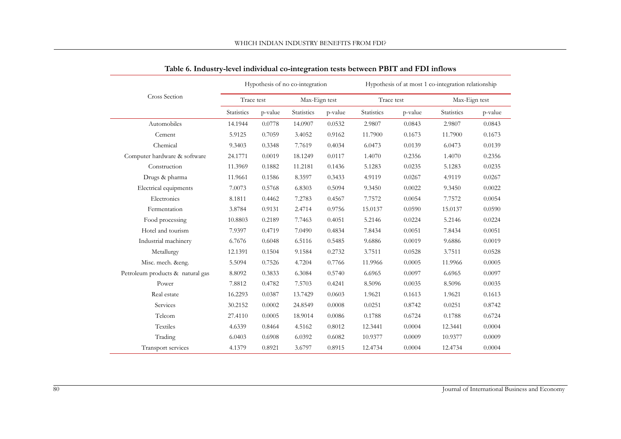| WHICH INDIAN INDUSTRY BENEFITS FROM FDI? |  |
|------------------------------------------|--|
|------------------------------------------|--|

|                                  |            |         | Hypothesis of no co-integration |         |            |         | Hypothesis of at most 1 co-integration relationship |         |
|----------------------------------|------------|---------|---------------------------------|---------|------------|---------|-----------------------------------------------------|---------|
| Cross Section                    | Trace test |         | Max-Eign test                   |         | Trace test |         | Max-Eign test                                       |         |
|                                  | Statistics | p-value | Statistics                      | p-value | Statistics | p-value | Statistics                                          | p-value |
| Automobiles                      | 14.1944    | 0.0778  | 14.0907                         | 0.0532  | 2.9807     | 0.0843  | 2.9807                                              | 0.0843  |
| Cement                           | 5.9125     | 0.7059  | 3.4052                          | 0.9162  | 11.7900    | 0.1673  | 11.7900                                             | 0.1673  |
| Chemical                         | 9.3403     | 0.3348  | 7.7619                          | 0.4034  | 6.0473     | 0.0139  | 6.0473                                              | 0.0139  |
| Computer hardware & software     | 24.1771    | 0.0019  | 18.1249                         | 0.0117  | 1.4070     | 0.2356  | 1.4070                                              | 0.2356  |
| Construction                     | 11.3969    | 0.1882  | 11.2181                         | 0.1436  | 5.1283     | 0.0235  | 5.1283                                              | 0.0235  |
| Drugs & pharma                   | 11.9661    | 0.1586  | 8.3597                          | 0.3433  | 4.9119     | 0.0267  | 4.9119                                              | 0.0267  |
| Electrical equipments            | 7.0073     | 0.5768  | 6.8303                          | 0.5094  | 9.3450     | 0.0022  | 9.3450                                              | 0.0022  |
| Electronics                      | 8.1811     | 0.4462  | 7.2783                          | 0.4567  | 7.7572     | 0.0054  | 7.7572                                              | 0.0054  |
| Fermentation                     | 3.8784     | 0.9131  | 2.4714                          | 0.9756  | 15.0137    | 0.0590  | 15.0137                                             | 0.0590  |
| Food processing                  | 10.8803    | 0.2189  | 7.7463                          | 0.4051  | 5.2146     | 0.0224  | 5.2146                                              | 0.0224  |
| Hotel and tourism                | 7.9397     | 0.4719  | 7.0490                          | 0.4834  | 7.8434     | 0.0051  | 7.8434                                              | 0.0051  |
| Industrial machinery             | 6.7676     | 0.6048  | 6.5116                          | 0.5485  | 9.6886     | 0.0019  | 9.6886                                              | 0.0019  |
| Metallurgy                       | 12.1391    | 0.1504  | 9.1584                          | 0.2732  | 3.7511     | 0.0528  | 3.7511                                              | 0.0528  |
| Misc. mech. &eng.                | 5.5094     | 0.7526  | 4.7204                          | 0.7766  | 11.9966    | 0.0005  | 11.9966                                             | 0.0005  |
| Petroleum products & natural gas | 8.8092     | 0.3833  | 6.3084                          | 0.5740  | 6.6965     | 0.0097  | 6.6965                                              | 0.0097  |
| Power                            | 7.8812     | 0.4782  | 7.5703                          | 0.4241  | 8.5096     | 0.0035  | 8.5096                                              | 0.0035  |
| Real estate                      | 16.2293    | 0.0387  | 13.7429                         | 0.0603  | 1.9621     | 0.1613  | 1.9621                                              | 0.1613  |
| Services                         | 30.2152    | 0.0002  | 24.8549                         | 0.0008  | 0.0251     | 0.8742  | 0.0251                                              | 0.8742  |
| Telcom                           | 27.4110    | 0.0005  | 18.9014                         | 0.0086  | 0.1788     | 0.6724  | 0.1788                                              | 0.6724  |
| Textiles                         | 4.6339     | 0.8464  | 4.5162                          | 0.8012  | 12.3441    | 0.0004  | 12.3441                                             | 0.0004  |
| Trading                          | 6.0403     | 0.6908  | 6.0392                          | 0.6082  | 10.9377    | 0.0009  | 10.9377                                             | 0.0009  |
| Transport services               | 4.1379     | 0.8921  | 3.6797                          | 0.8915  | 12.4734    | 0.0004  | 12.4734                                             | 0.0004  |

**Table 6. Industry-level individual co-integration tests between PBIT and FDI inflows**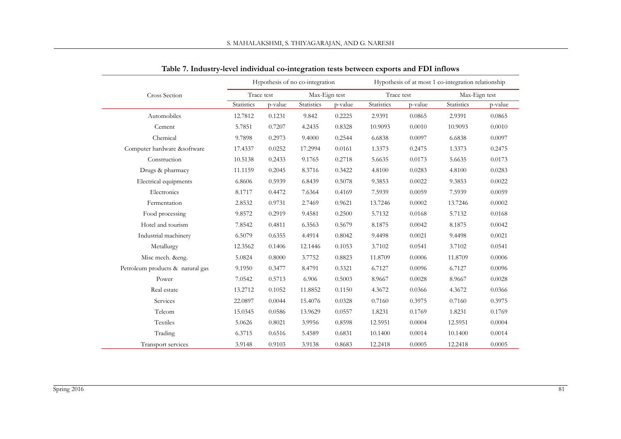|                                  |            |         | Hypothesis of no co-integration |         | Hypothesis of at most 1 co-integration relationship |         |               |         |  |
|----------------------------------|------------|---------|---------------------------------|---------|-----------------------------------------------------|---------|---------------|---------|--|
| Cross Section                    | Trace test |         | Max-Eign test                   |         | Trace test                                          |         | Max-Eign test |         |  |
|                                  | Statistics | p-value | Statistics                      | p-value | Statistics                                          | p-value | Statistics    | p-value |  |
| Automobiles                      | 12.7812    | 0.1231  | 9.842                           | 0.2225  | 2.9391                                              | 0.0865  | 2.9391        | 0.0865  |  |
| Cement                           | 5.7851     | 0.7207  | 4.2435                          | 0.8328  | 10.9093                                             | 0.0010  | 10.9093       | 0.0010  |  |
| Chemical                         | 9.7898     | 0.2973  | 9.4000                          | 0.2544  | 6.6838                                              | 0.0097  | 6.6838        | 0.0097  |  |
| Computer hardware &software      | 17.4337    | 0.0252  | 17.2994                         | 0.0161  | 1.3373                                              | 0.2475  | 1.3373        | 0.2475  |  |
| Construction                     | 10.5138    | 0.2433  | 9.1765                          | 0.2718  | 5.6635                                              | 0.0173  | 5.6635        | 0.0173  |  |
| Drugs & pharmacy                 | 11.1159    | 0.2045  | 8.3716                          | 0.3422  | 4.8100                                              | 0.0283  | 4.8100        | 0.0283  |  |
| Electrical equipments            | 6.8606     | 0.5939  | 6.8439                          | 0.5078  | 9.3853                                              | 0.0022  | 9.3853        | 0.0022  |  |
| Electronics                      | 8.1717     | 0.4472  | 7.6364                          | 0.4169  | 7.5939                                              | 0.0059  | 7.5939        | 0.0059  |  |
| Fermentation                     | 2.8532     | 0.9731  | 2.7469                          | 0.9621  | 13.7246                                             | 0.0002  | 13.7246       | 0.0002  |  |
| Food processing                  | 9.8572     | 0.2919  | 9.4581                          | 0.2500  | 5.7132                                              | 0.0168  | 5.7132        | 0.0168  |  |
| Hotel and tourism                | 7.8542     | 0.4811  | 6.3563                          | 0.5679  | 8.1875                                              | 0.0042  | 8.1875        | 0.0042  |  |
| Industrial machinery             | 6.5079     | 0.6355  | 4.4914                          | 0.8042  | 9.4498                                              | 0.0021  | 9.4498        | 0.0021  |  |
| Metallurgy                       | 12.3562    | 0.1406  | 12.1446                         | 0.1053  | 3.7102                                              | 0.0541  | 3.7102        | 0.0541  |  |
| Misc mech. &eng.                 | 5.0824     | 0.8000  | 3.7752                          | 0.8823  | 11.8709                                             | 0.0006  | 11.8709       | 0.0006  |  |
| Petroleum products & natural gas | 9.1950     | 0.3477  | 8.4791                          | 0.3321  | 6.7127                                              | 0.0096  | 6.7127        | 0.0096  |  |
| Power                            | 7.0542     | 0.5713  | 6.906                           | 0.5003  | 8.9667                                              | 0.0028  | 8.9667        | 0.0028  |  |
| Real estate                      | 13.2712    | 0.1052  | 11.8852                         | 0.1150  | 4.3672                                              | 0.0366  | 4.3672        | 0.0366  |  |
| Services                         | 22.0897    | 0.0044  | 15.4076                         | 0.0328  | 0.7160                                              | 0.3975  | 0.7160        | 0.3975  |  |
| Telcom                           | 15.0345    | 0.0586  | 13.9629                         | 0.0557  | 1.8231                                              | 0.1769  | 1.8231        | 0.1769  |  |
| Textiles                         | 5.0626     | 0.8021  | 3.9956                          | 0.8598  | 12.5951                                             | 0.0004  | 12.5951       | 0.0004  |  |
| Trading                          | 6.3715     | 0.6516  | 5.4589                          | 0.6831  | 10.1400                                             | 0.0014  | 10.1400       | 0.0014  |  |
| Transport services               | 3.9148     | 0.9103  | 3.9138                          | 0.8683  | 12.2418                                             | 0.0005  | 12.2418       | 0.0005  |  |

**Table 7. Industry-level individual co-integration tests between exports and FDI inflows**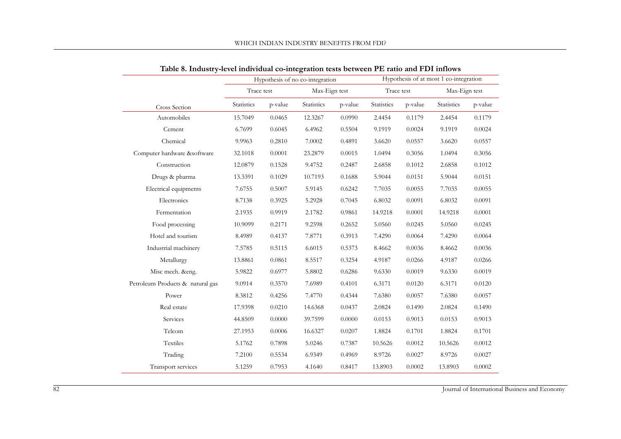|                                  |            |         | Hypothesis of no co-integration |         |            |         |               | Hypothesis of at most 1 co-integration |  |
|----------------------------------|------------|---------|---------------------------------|---------|------------|---------|---------------|----------------------------------------|--|
|                                  | Trace test |         | Max-Eign test                   |         | Trace test |         | Max-Eign test |                                        |  |
| Cross Section                    | Statistics | p-value | Statistics                      | p-value | Statistics | p-value | Statistics    | p-value                                |  |
| Automobiles                      | 15.7049    | 0.0465  | 12.3267                         | 0.0990  | 2.4454     | 0.1179  | 2.4454        | 0.1179                                 |  |
| Cement                           | 6.7699     | 0.6045  | 6.4962                          | 0.5504  | 9.1919     | 0.0024  | 9.1919        | 0.0024                                 |  |
| Chemical                         | 9.9963     | 0.2810  | 7.0002                          | 0.4891  | 3.6620     | 0.0557  | 3.6620        | 0.0557                                 |  |
| Computer hardware &software      | 32.1018    | 0.0001  | 23.2879                         | 0.0015  | 1.0494     | 0.3056  | 1.0494        | 0.3056                                 |  |
| Construction                     | 12.0879    | 0.1528  | 9.4752                          | 0.2487  | 2.6858     | 0.1012  | 2.6858        | 0.1012                                 |  |
| Drugs & pharma                   | 13.3391    | 0.1029  | 10.7193                         | 0.1688  | 5.9044     | 0.0151  | 5.9044        | 0.0151                                 |  |
| Electrical equipments            | 7.6755     | 0.5007  | 5.9145                          | 0.6242  | 7.7035     | 0.0055  | 7.7035        | 0.0055                                 |  |
| Electronics                      | 8.7138     | 0.3925  | 5.2928                          | 0.7045  | 6.8032     | 0.0091  | 6.8032        | 0.0091                                 |  |
| Fermentation                     | 2.1935     | 0.9919  | 2.1782                          | 0.9861  | 14.9218    | 0.0001  | 14.9218       | 0.0001                                 |  |
| Food processing                  | 10.9099    | 0.2171  | 9.2598                          | 0.2652  | 5.0560     | 0.0245  | 5.0560        | 0.0245                                 |  |
| Hotel and tourism                | 8.4989     | 0.4137  | 7.8771                          | 0.3913  | 7.4290     | 0.0064  | 7.4290        | 0.0064                                 |  |
| Industrial machinery             | 7.5785     | 0.5115  | 6.6015                          | 0.5373  | 8.4662     | 0.0036  | 8.4662        | 0.0036                                 |  |
| Metallurgy                       | 13.8861    | 0.0861  | 8.5517                          | 0.3254  | 4.9187     | 0.0266  | 4.9187        | 0.0266                                 |  |
| Misc mech. &eng.                 | 5.9822     | 0.6977  | 5.8802                          | 0.6286  | 9.6330     | 0.0019  | 9.6330        | 0.0019                                 |  |
| Petroleum Products & natural gas | 9.0914     | 0.3570  | 7.6989                          | 0.4101  | 6.3171     | 0.0120  | 6.3171        | 0.0120                                 |  |
| Power                            | 8.3812     | 0.4256  | 7.4770                          | 0.4344  | 7.6380     | 0.0057  | 7.6380        | 0.0057                                 |  |
| Real estate                      | 17.9398    | 0.0210  | 14.6368                         | 0.0437  | 2.0824     | 0.1490  | 2.0824        | 0.1490                                 |  |
| Services                         | 44.8509    | 0.0000  | 39.7599                         | 0.0000  | 0.0153     | 0.9013  | 0.0153        | 0.9013                                 |  |
| Telcom                           | 27.1953    | 0.0006  | 16.6327                         | 0.0207  | 1.8824     | 0.1701  | 1.8824        | 0.1701                                 |  |
| Textiles                         | 5.1762     | 0.7898  | 5.0246                          | 0.7387  | 10.5626    | 0.0012  | 10.5626       | 0.0012                                 |  |
| Trading                          | 7.2100     | 0.5534  | 6.9349                          | 0.4969  | 8.9726     | 0.0027  | 8.9726        | 0.0027                                 |  |
| Transport services               | 5.1259     | 0.7953  | 4.1640                          | 0.8417  | 13.8903    | 0.0002  | 13.8903       | 0.0002                                 |  |

**Table 8. Industry-level individual co-integration tests between PE ratio and FDI inflows**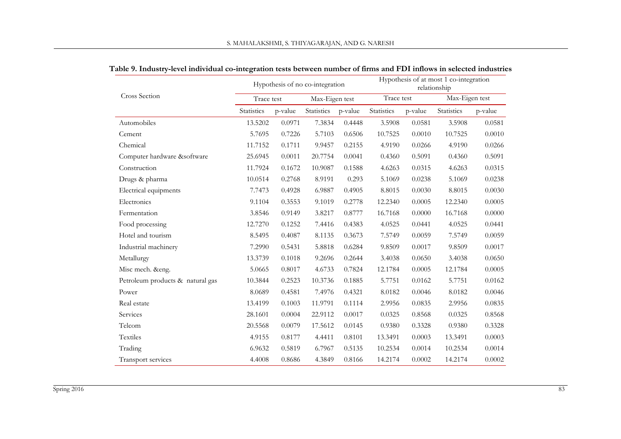|                                  |            |         | Hypothesis of no co-integration |         | Hypothesis of at most 1 co-integration<br>relationship |         |                |         |  |
|----------------------------------|------------|---------|---------------------------------|---------|--------------------------------------------------------|---------|----------------|---------|--|
| Cross Section                    | Trace test |         | Max-Eigen test                  |         | Trace test                                             |         | Max-Eigen test |         |  |
|                                  | Statistics | p-value | Statistics                      | p-value | Statistics                                             | p-value | Statistics     | p-value |  |
| Automobiles                      | 13.5202    | 0.0971  | 7.3834                          | 0.4448  | 3.5908                                                 | 0.0581  | 3.5908         | 0.0581  |  |
| Cement                           | 5.7695     | 0.7226  | 5.7103                          | 0.6506  | 10.7525                                                | 0.0010  | 10.7525        | 0.0010  |  |
| Chemical                         | 11.7152    | 0.1711  | 9.9457                          | 0.2155  | 4.9190                                                 | 0.0266  | 4.9190         | 0.0266  |  |
| Computer hardware &software      | 25.6945    | 0.0011  | 20.7754                         | 0.0041  | 0.4360                                                 | 0.5091  | 0.4360         | 0.5091  |  |
| Construction                     | 11.7924    | 0.1672  | 10.9087                         | 0.1588  | 4.6263                                                 | 0.0315  | 4.6263         | 0.0315  |  |
| Drugs & pharma                   | 10.0514    | 0.2768  | 8.9191                          | 0.293   | 5.1069                                                 | 0.0238  | 5.1069         | 0.0238  |  |
| Electrical equipments            | 7.7473     | 0.4928  | 6.9887                          | 0.4905  | 8.8015                                                 | 0.0030  | 8.8015         | 0.0030  |  |
| Electronics                      | 9.1104     | 0.3553  | 9.1019                          | 0.2778  | 12.2340                                                | 0.0005  | 12.2340        | 0.0005  |  |
| Fermentation                     | 3.8546     | 0.9149  | 3.8217                          | 0.8777  | 16.7168                                                | 0.0000  | 16.7168        | 0.0000  |  |
| Food processing                  | 12.7270    | 0.1252  | 7.4416                          | 0.4383  | 4.0525                                                 | 0.0441  | 4.0525         | 0.0441  |  |
| Hotel and tourism                | 8.5495     | 0.4087  | 8.1135                          | 0.3673  | 7.5749                                                 | 0.0059  | 7.5749         | 0.0059  |  |
| Industrial machinery             | 7.2990     | 0.5431  | 5.8818                          | 0.6284  | 9.8509                                                 | 0.0017  | 9.8509         | 0.0017  |  |
| Metallurgy                       | 13.3739    | 0.1018  | 9.2696                          | 0.2644  | 3.4038                                                 | 0.0650  | 3.4038         | 0.0650  |  |
| Misc mech. &eng.                 | 5.0665     | 0.8017  | 4.6733                          | 0.7824  | 12.1784                                                | 0.0005  | 12.1784        | 0.0005  |  |
| Petroleum products & natural gas | 10.3844    | 0.2523  | 10.3736                         | 0.1885  | 5.7751                                                 | 0.0162  | 5.7751         | 0.0162  |  |
| Power                            | 8.0689     | 0.4581  | 7.4976                          | 0.4321  | 8.0182                                                 | 0.0046  | 8.0182         | 0.0046  |  |
| Real estate                      | 13.4199    | 0.1003  | 11.9791                         | 0.1114  | 2.9956                                                 | 0.0835  | 2.9956         | 0.0835  |  |
| Services                         | 28.1601    | 0.0004  | 22.9112                         | 0.0017  | 0.0325                                                 | 0.8568  | 0.0325         | 0.8568  |  |
| Telcom                           | 20.5568    | 0.0079  | 17.5612                         | 0.0145  | 0.9380                                                 | 0.3328  | 0.9380         | 0.3328  |  |
| Textiles                         | 4.9155     | 0.8177  | 4.4411                          | 0.8101  | 13.3491                                                | 0.0003  | 13.3491        | 0.0003  |  |
| Trading                          | 6.9632     | 0.5819  | 6.7967                          | 0.5135  | 10.2534                                                | 0.0014  | 10.2534        | 0.0014  |  |
| Transport services               | 4.4008     | 0.8686  | 4.3849                          | 0.8166  | 14.2174                                                | 0.0002  | 14.2174        | 0.0002  |  |

| Table 9. Industry-level individual co-integration tests between number of firms and FDI inflows in selected industries |  |  |  |  |
|------------------------------------------------------------------------------------------------------------------------|--|--|--|--|
|------------------------------------------------------------------------------------------------------------------------|--|--|--|--|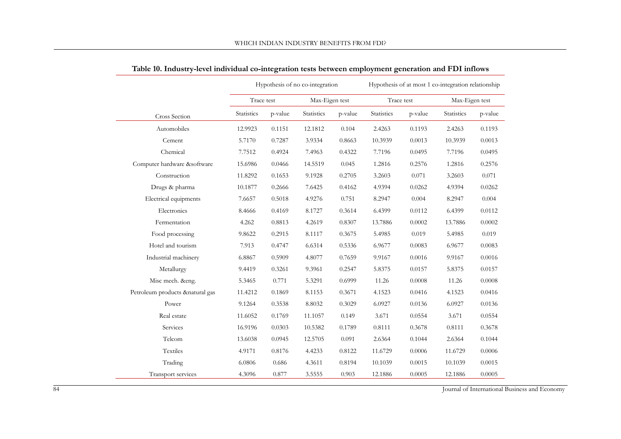|                             |            |         | Hypothesis of no co-integration |         | Hypothesis of at most 1 co-integration relationship |         |                |         |
|-----------------------------|------------|---------|---------------------------------|---------|-----------------------------------------------------|---------|----------------|---------|
|                             | Trace test |         | Max-Eigen test                  |         | Trace test                                          |         | Max-Eigen test |         |
| Cross Section               | Statistics | p-value | Statistics                      | p-value | <b>Statistics</b>                                   | p-value | Statistics     | p-value |
| Automobiles                 | 12.9923    | 0.1151  | 12.1812                         | 0.104   | 2.4263                                              | 0.1193  | 2.4263         | 0.1193  |
| Cement                      | 5.7170     | 0.7287  | 3.9334                          | 0.8663  | 10.3939                                             | 0.0013  | 10.3939        | 0.0013  |
| Chemical                    | 7.7512     | 0.4924  | 7.4963                          | 0.4322  | 7.7196                                              | 0.0495  | 7.7196         | 0.0495  |
| Computer hardware &software | 15.6986    | 0.0466  | 14.5519                         | 0.045   | 1.2816                                              | 0.2576  | 1.2816         | 0.2576  |
| Construction                | 11.8292    | 0.1653  | 9.1928                          | 0.2705  | 3.2603                                              | 0.071   | 3.2603         | 0.071   |
| Drugs & pharma              | 10.1877    | 0.2666  | 7.6425                          | 0.4162  | 4.9394                                              | 0.0262  | 4.9394         | 0.0262  |
| Electrical equipments       | 7.6657     | 0.5018  | 4.9276                          | 0.751   | 8.2947                                              | 0.004   | 8.2947         | 0.004   |
| Electronics                 | 8.4666     | 0.4169  | 8.1727                          | 0.3614  | 6.4399                                              | 0.0112  | 6.4399         | 0.0112  |
| Fermentation                | 4.262      | 0.8813  | 4.2619                          | 0.8307  | 13.7886                                             | 0.0002  | 13.7886        | 0.0002  |
| Food processing             | 9.8622     | 0.2915  | 8.1117                          | 0.3675  | 5.4985                                              | 0.019   | 5.4985         | 0.019   |
| Hotel and tourism           | 7.913      | 0.4747  | 6.6314                          | 0.5336  | 6.9677                                              | 0.0083  | 6.9677         | 0.0083  |
| Industrial machinery        | 6.8867     | 0.5909  | 4.8077                          | 0.7659  | 9.9167                                              | 0.0016  | 9.9167         | 0.0016  |
| Metallurgy                  | 9.4419     | 0.3261  | 9.3961                          | 0.2547  | 5.8375                                              | 0.0157  | 5.8375         | 0.0157  |
| Misc mech. &eng.            | 5.3465     | 0.771   | 5.3291                          | 0.6999  | 11.26                                               | 0.0008  | 11.26          | 0.0008  |
| Petroleum products ♮ gas    | 11.4212    | 0.1869  | 8.1153                          | 0.3671  | 4.1523                                              | 0.0416  | 4.1523         | 0.0416  |
| Power                       | 9.1264     | 0.3538  | 8.8032                          | 0.3029  | 6.0927                                              | 0.0136  | 6.0927         | 0.0136  |
| Real estate                 | 11.6052    | 0.1769  | 11.1057                         | 0.149   | 3.671                                               | 0.0554  | 3.671          | 0.0554  |
| Services                    | 16.9196    | 0.0303  | 10.5382                         | 0.1789  | 0.8111                                              | 0.3678  | 0.8111         | 0.3678  |
| Telcom                      | 13.6038    | 0.0945  | 12.5705                         | 0.091   | 2.6364                                              | 0.1044  | 2.6364         | 0.1044  |
| Textiles                    | 4.9171     | 0.8176  | 4.4233                          | 0.8122  | 11.6729                                             | 0.0006  | 11.6729        | 0.0006  |
| Trading                     | 6.0806     | 0.686   | 4.3611                          | 0.8194  | 10.1039                                             | 0.0015  | 10.1039        | 0.0015  |
| Transport services          | 4.3096     | 0.877   | 3.5555                          | 0.903   | 12.1886                                             | 0.0005  | 12.1886        | 0.0005  |

**Table 10. Industry-level individual co-integration tests between employment generation and FDI inflows**

84 Journal of International Business and Economy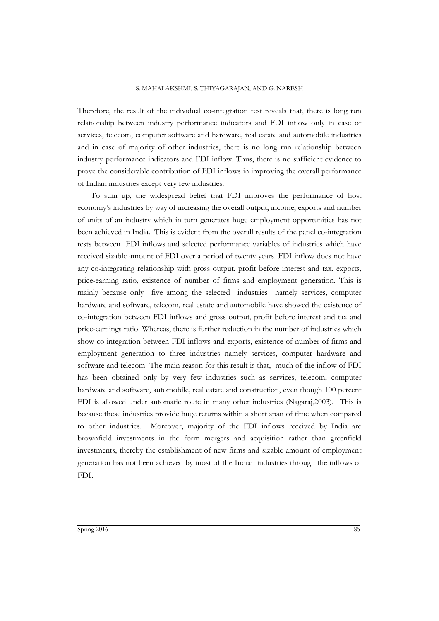Therefore, the result of the individual co-integration test reveals that, there is long run relationship between industry performance indicators and FDI inflow only in case of services, telecom, computer software and hardware, real estate and automobile industries and in case of majority of other industries, there is no long run relationship between industry performance indicators and FDI inflow. Thus, there is no sufficient evidence to prove the considerable contribution of FDI inflows in improving the overall performance of Indian industries except very few industries.

To sum up, the widespread belief that FDI improves the performance of host economy's industries by way of increasing the overall output, income, exports and number of units of an industry which in turn generates huge employment opportunities has not been achieved in India. This is evident from the overall results of the panel co-integration tests between FDI inflows and selected performance variables of industries which have received sizable amount of FDI over a period of twenty years. FDI inflow does not have any co-integrating relationship with gross output, profit before interest and tax, exports, price-earning ratio, existence of number of firms and employment generation. This is mainly because only five among the selected industries namely services, computer hardware and software, telecom, real estate and automobile have showed the existence of co-integration between FDI inflows and gross output, profit before interest and tax and price-earnings ratio. Whereas, there is further reduction in the number of industries which show co-integration between FDI inflows and exports, existence of number of firms and employment generation to three industries namely services, computer hardware and software and telecom The main reason for this result is that, much of the inflow of FDI has been obtained only by very few industries such as services, telecom, computer hardware and software, automobile, real estate and construction, even though 100 percent FDI is allowed under automatic route in many other industries (Nagaraj,2003). This is because these industries provide huge returns within a short span of time when compared to other industries. Moreover, majority of the FDI inflows received by India are brownfield investments in the form mergers and acquisition rather than greenfield investments, thereby the establishment of new firms and sizable amount of employment generation has not been achieved by most of the Indian industries through the inflows of FDI.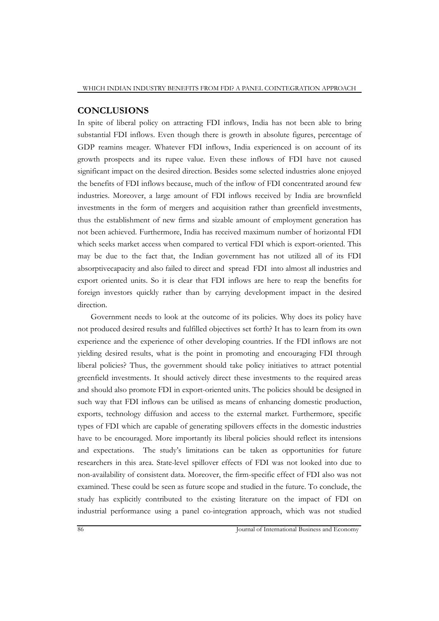# **CONCLUSIONS**

In spite of liberal policy on attracting FDI inflows, India has not been able to bring substantial FDI inflows. Even though there is growth in absolute figures, percentage of GDP reamins meager. Whatever FDI inflows, India experienced is on account of its growth prospects and its rupee value. Even these inflows of FDI have not caused significant impact on the desired direction. Besides some selected industries alone enjoyed the benefits of FDI inflows because, much of the inflow of FDI concentrated around few industries. Moreover, a large amount of FDI inflows received by India are brownfield investments in the form of mergers and acquisition rather than greenfield investments, thus the establishment of new firms and sizable amount of employment generation has not been achieved. Furthermore, India has received maximum number of horizontal FDI which seeks market access when compared to vertical FDI which is export-oriented. This may be due to the fact that, the Indian government has not utilized all of its FDI absorptivecapacity and also failed to direct and spread FDI into almost all industries and export oriented units. So it is clear that FDI inflows are here to reap the benefits for foreign investors quickly rather than by carrying development impact in the desired direction.

Government needs to look at the outcome of its policies. Why does its policy have not produced desired results and fulfilled objectives set forth? It has to learn from its own experience and the experience of other developing countries. If the FDI inflows are not yielding desired results, what is the point in promoting and encouraging FDI through liberal policies? Thus, the government should take policy initiatives to attract potential greenfield investments. It should actively direct these investments to the required areas and should also promote FDI in export-oriented units. The policies should be designed in such way that FDI inflows can be utilised as means of enhancing domestic production, exports, technology diffusion and access to the external market. Furthermore, specific types of FDI which are capable of generating spillovers effects in the domestic industries have to be encouraged. More importantly its liberal policies should reflect its intensions and expectations. The study's limitations can be taken as opportunities for future researchers in this area. State-level spillover effects of FDI was not looked into due to non-availability of consistent data. Moreover, the firm-specific effect of FDI also was not examined. These could be seen as future scope and studied in the future. To conclude, the study has explicitly contributed to the existing literature on the impact of FDI on industrial performance using a panel co-integration approach, which was not studied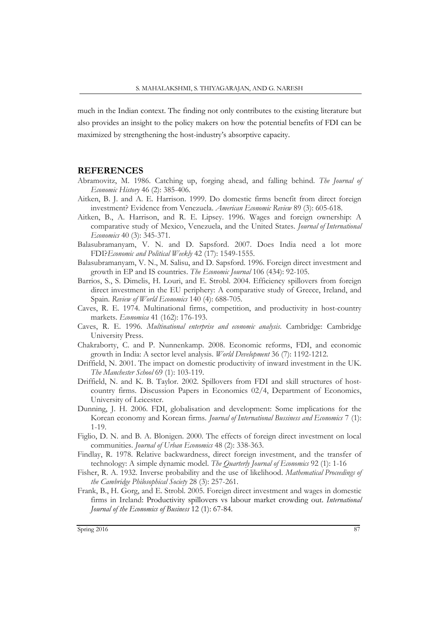much in the Indian context. The finding not only contributes to the existing literature but also provides an insight to the policy makers on how the potential benefits of FDI can be maximized by strengthening the host-industry's absorptive capacity.

#### **REFERENCES**

- Abramovitz, M. 1986. Catching up, forging ahead, and falling behind. *The Journal of Economic History* 46 (2): 385-406.
- Aitken, B. J. and A. E. Harrison. 1999. Do domestic firms benefit from direct foreign investment? Evidence from Venezuela. *American Economic Review* 89 (3): 605-618.
- Aitken, B., A. Harrison, and R. E. Lipsey. 1996. Wages and foreign ownership: A comparative study of Mexico, Venezuela, and the United States. *Journal of International Economics* 40 (3): 345-371.
- Balasubramanyam, V. N. and D. Sapsford. 2007. Does India need a lot more FDI?*Economic and Political Weekly* 42 (17): 1549-1555.
- Balasubramanyam, V. N., M. Salisu, and D. Sapsford. 1996. Foreign direct investment and growth in EP and IS countries. *The Economic Journal* 106 (434): 92-105.
- Barrios, S., S. Dimelis, H. Louri, and E. Strobl. 2004. Efficiency spillovers from foreign direct investment in the EU periphery: A comparative study of Greece, Ireland, and Spain. *Review of World Economics* 140 (4): 688-705.
- Caves, R. E. 1974. Multinational firms, competition, and productivity in host-country markets. *Economica* 41 (162): 176-193.
- Caves, R. E. 1996. *Multinational enterprise and economic analysis*. Cambridge: Cambridge University Press.
- Chakraborty, C. and P. Nunnenkamp. 2008. Economic reforms, FDI, and economic growth in India: A sector level analysis. *World Development* 36 (7): 1192-1212.
- Driffield, N. 2001. The impact on domestic productivity of inward investment in the UK. *The Manchester School* 69 (1): 103-119.
- Driffield, N. and K. B. Taylor. 2002. Spillovers from FDI and skill structures of hostcountry firms. Discussion Papers in Economics 02/4, Department of Economics, University of Leicester.
- Dunning, J. H. 2006. FDI, globalisation and development: Some implications for the Korean economy and Korean firms. *Journal of International Bussiness and Economics* 7 (1): 1-19.
- Figlio, D. N. and B. A. Blonigen. 2000. The effects of foreign direct investment on local communities. *Journal of Urban Economics* 48 (2): 338-363.
- Findlay, R. 1978. Relative backwardness, direct foreign investment, and the transfer of technology: A simple dynamic model. *The Quarterly Journal of Economics* 92 (1): 1-16
- Fisher, R. A. 1932. Inverse probability and the use of likelihood. *Mathematical Proceedings of the Cambridge Philosophical Society* 28 (3): 257-261.
- Frank, B., H. Gorg, and E. Strobl. 2005. Foreign direct investment and wages in domestic firms in Ireland: Productivity spillovers vs labour market crowding out. *International Journal of the Economics of Business* 12 (1): 67-84.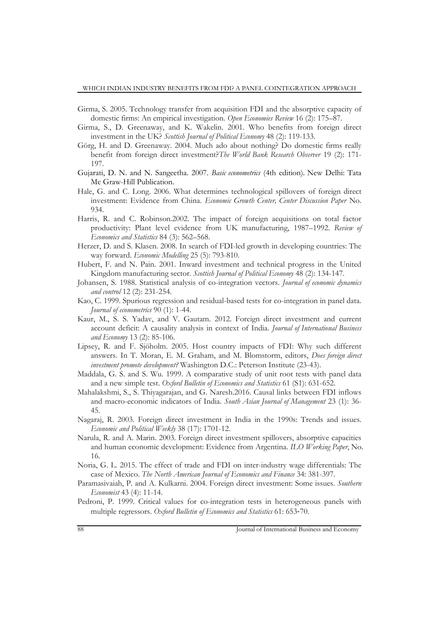- Girma, S. 2005. Technology transfer from acquisition FDI and the absorptive capacity of domestic firms: An empirical investigation. *Open Economies Review* 16 (2): 175–87.
- Girma, S., D. Greenaway, and K. Wakelin. 2001. Who benefits from foreign direct investment in the UK? *Scottish Journal of Political Economy* 48 (2): 119-133.
- Görg, H. and D. Greenaway. 2004. Much ado about nothing? Do domestic firms really benefit from foreign direct investment?*The World Bank Research Observer* 19 (2): 171- 197.
- Gujarati, D. N. and N. Sangeetha. 2007. *Basic econometrics* (4th edition)*.* New Delhi: Tata Mc Graw-Hill Publication.
- Hale, G. and C. Long. 2006. What determines technological spillovers of foreign direct investment: Evidence from China. *Economic Growth Center, Center Discussion Paper* No. 934.
- Harris, R. and C. Robinson.2002. The impact of foreign acquisitions on total factor productivity: Plant level evidence from UK manufacturing, 1987–1992. *Review of Economics and Statistics* 84 (3): 562–568.
- Herzer, D. and S. Klasen. 2008. In search of FDI-led growth in developing countries: The way forward. *Economic Modelling* 25 (5): 793-810.
- Hubert, F. and N. Pain. 2001. Inward investment and technical progress in the United Kingdom manufacturing sector. *Scottish Journal of Political Economy* 48 (2): 134-147.
- Johansen, S. 1988. Statistical analysis of co-integration vectors. *Journal of economic dynamics and control* 12 (2): 231-254.
- Kao, C. 1999. Spurious regression and residual-based tests for co-integration in panel data. *Journal of econometrics* 90 (1): 1-44.
- Kaur, M., S. S. Yadav, and V. Gautam. 2012. Foreign direct investment and current account deficit: A causality analysis in context of India. *Journal of International Business and Economy* 13 (2): 85-106.
- Lipsey, R. and F. Sjöholm. 2005. Host country impacts of FDI: Why such different answers. In T. Moran, E. M. Graham, and M. Blomstorm, editors, *Does foreign direct investment promote development?* Washington D.C.: Peterson Institute (23-43).
- Maddala, G. S. and S. Wu. 1999. A comparative study of unit root tests with panel data and a new simple test. *Oxford Bulletin of Economics and Statistics* 61 (S1): 631-652.
- Mahalakshmi, S., S. Thiyagarajan, and G. Naresh.2016. Causal links between FDI inflows and macro-economic indicators of India. *South Asian Journal of Management* 23 (1): 36- 45.
- Nagaraj, R. 2003. Foreign direct investment in India in the 1990s: Trends and issues. *Economic and Political Weekly* 38 (17): 1701-12.
- Narula, R. and A. Marin. 2003. Foreign direct investment spillovers, absorptive capacities and human economic development: Evidence from Argentina. *ILO Working Paper*, No. 16.
- Noria, G. L. 2015. The effect of trade and FDI on inter-industry wage differentials: The case of Mexico. *The North American Journal of Economics and Finance* 34: 381-397.
- Paramasivaiah, P. and A. Kulkarni. 2004. Foreign direct investment: Some issues. *Southern Economist* 43 (4): 11-14.
- Pedroni, P. 1999. Critical values for co-integration tests in heterogeneous panels with multiple regressors. *Oxford Bulletin of Economics and Statistics* 61: 653‐70.